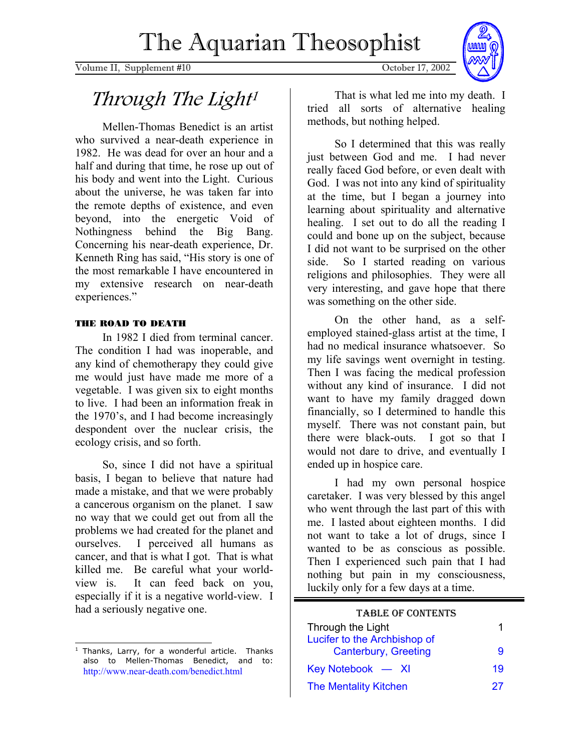Volume II, Supplement #10 October 17, 2002



methods, but nothing helped. Mellen-Thomas Benedict is an artist who survived a near-death experience in 1982. He was dead for over an hour and a half and during that time, he rose up out of his body and went into the Light. Curious about the universe, he was taken far into the remote depths of existence, and even beyond, into the energetic Void of Nothingness behind the Big Bang. Concerning his near-death experience, Dr. Kenneth Ring has said, "His story is one of the most remarkable I have encountered in my extensive research on near-death experiences."

### THE ROAD TO DEATH

In 1982 I died from terminal cancer. The condition I had was inoperable, and any kind of chemotherapy they could give me would just have made me more of a vegetable. I was given six to eight months to live. I had been an information freak in the 1970's, and I had become increasingly despondent over the nuclear crisis, the ecology crisis, and so forth.

So, since I did not have a spiritual basis, I began to believe that nature had made a mistake, and that we were probably a cancerous organism on the planet. I saw no way that we could get out from all the problems we had created for the planet and ourselves. I perceived all humans as cancer, and that is what I got. That is what killed me. Be careful what your worldview is. It can feed back on you, especially if it is a negative world-view. I had a seriously negative one.

**Through The Light<sup>[1](#page-0-0)</sup>**  $\left| \begin{array}{c} \text{That is what led me into my death.} \\ \text{that is what led me into my death.} \end{array} \right|$ tried all sorts of alternative healing

> So I determined that this was really just between God and me. I had never really faced God before, or even dealt with God. I was not into any kind of spirituality at the time, but I began a journey into learning about spirituality and alternative healing. I set out to do all the reading I could and bone up on the subject, because I did not want to be surprised on the other side. So I started reading on various religions and philosophies. They were all very interesting, and gave hope that there was something on the other side.

> On the other hand, as a selfemployed stained-glass artist at the time, I had no medical insurance whatsoever. So my life savings went overnight in testing. Then I was facing the medical profession without any kind of insurance. I did not want to have my family dragged down financially, so I determined to handle this myself. There was not constant pain, but there were black-outs. I got so that I would not dare to drive, and eventually I ended up in hospice care.

> I had my own personal hospice caretaker. I was very blessed by this angel who went through the last part of this with me. I lasted about eighteen months. I did not want to take a lot of drugs, since I wanted to be as conscious as possible. Then I experienced such pain that I had nothing but pain in my consciousness, luckily only for a few days at a time.

## TABLE OF CONTENTS

| <sup>1</sup> Thanks, Larry, for a wonderful article. Thanks<br>Mellen-Thomas Benedict, and<br>to<br>to:<br>also<br>http://www.near-death.com/benedict.html | Through the Light<br>Lucifer to the Archbishop of |     |
|------------------------------------------------------------------------------------------------------------------------------------------------------------|---------------------------------------------------|-----|
|                                                                                                                                                            | <b>Canterbury, Greeting</b>                       | 9   |
|                                                                                                                                                            | $Key Notebook$ - XI                               | 19. |
|                                                                                                                                                            | <b>The Mentality Kitchen</b>                      |     |

<span id="page-0-0"></span>also to Mellen-Thomas Benedict, and to: <http://www.near-death.com/benedict.html>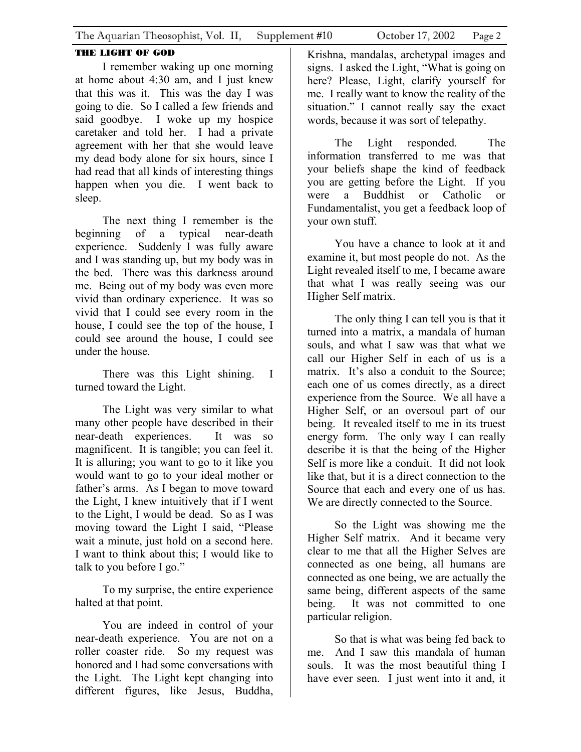### THE LIGHT OF GOD

I remember waking up one morning at home about 4:30 am, and I just knew that this was it. This was the day I was going to die. So I called a few friends and said goodbye. I woke up my hospice caretaker and told her. I had a private agreement with her that she would leave my dead body alone for six hours, since I had read that all kinds of interesting things happen when you die. I went back to sleep.

The next thing I remember is the beginning of a typical near-death experience. Suddenly I was fully aware and I was standing up, but my body was in the bed. There was this darkness around me. Being out of my body was even more vivid than ordinary experience. It was so vivid that I could see every room in the house, I could see the top of the house, I could see around the house, I could see under the house.

There was this Light shining. I turned toward the Light.

The Light was very similar to what many other people have described in their near-death experiences. It was so magnificent. It is tangible; you can feel it. It is alluring; you want to go to it like you would want to go to your ideal mother or father's arms. As I began to move toward the Light, I knew intuitively that if I went to the Light, I would be dead. So as I was moving toward the Light I said, "Please wait a minute, just hold on a second here. I want to think about this; I would like to talk to you before I go."

To my surprise, the entire experience halted at that point.

You are indeed in control of your near-death experience. You are not on a roller coaster ride. So my request was honored and I had some conversations with the Light. The Light kept changing into different figures, like Jesus, Buddha,

Krishna, mandalas, archetypal images and signs. I asked the Light, "What is going on here? Please, Light, clarify yourself for me. I really want to know the reality of the situation." I cannot really say the exact words, because it was sort of telepathy.

The Light responded. The information transferred to me was that your beliefs shape the kind of feedback you are getting before the Light. If you were a Buddhist or Catholic or Fundamentalist, you get a feedback loop of your own stuff.

You have a chance to look at it and examine it, but most people do not. As the Light revealed itself to me, I became aware that what I was really seeing was our Higher Self matrix.

The only thing I can tell you is that it turned into a matrix, a mandala of human souls, and what I saw was that what we call our Higher Self in each of us is a matrix. It's also a conduit to the Source; each one of us comes directly, as a direct experience from the Source. We all have a Higher Self, or an oversoul part of our being. It revealed itself to me in its truest energy form. The only way I can really describe it is that the being of the Higher Self is more like a conduit. It did not look like that, but it is a direct connection to the Source that each and every one of us has. We are directly connected to the Source.

So the Light was showing me the Higher Self matrix. And it became very clear to me that all the Higher Selves are connected as one being, all humans are connected as one being, we are actually the same being, different aspects of the same being. It was not committed to one particular religion.

So that is what was being fed back to me. And I saw this mandala of human souls. It was the most beautiful thing I have ever seen. I just went into it and, it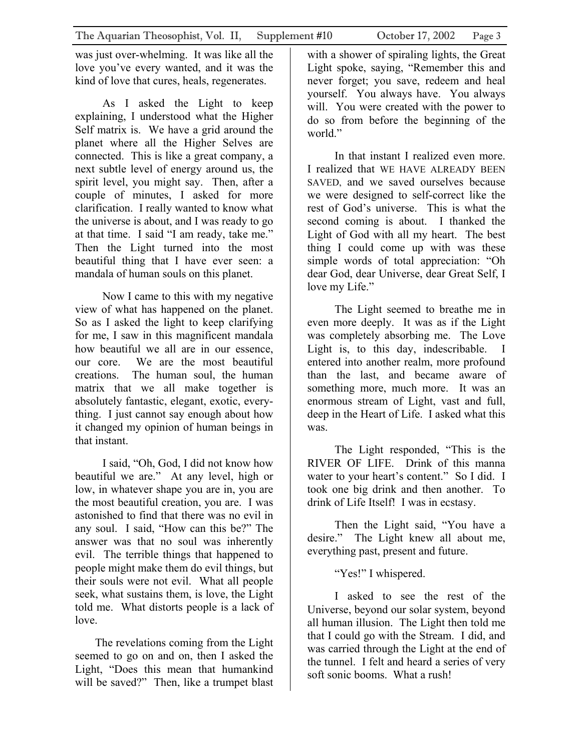was just over-whelming. It was like all the love you've every wanted, and it was the kind of love that cures, heals, regenerates.

As I asked the Light to keep explaining, I understood what the Higher Self matrix is. We have a grid around the planet where all the Higher Selves are connected. This is like a great company, a next subtle level of energy around us, the spirit level, you might say. Then, after a couple of minutes, I asked for more clarification. I really wanted to know what the universe is about, and I was ready to go at that time. I said "I am ready, take me." Then the Light turned into the most beautiful thing that I have ever seen: a mandala of human souls on this planet.

Now I came to this with my negative view of what has happened on the planet. So as I asked the light to keep clarifying for me, I saw in this magnificent mandala how beautiful we all are in our essence, our core. We are the most beautiful creations. The human soul, the human matrix that we all make together is absolutely fantastic, elegant, exotic, everything. I just cannot say enough about how it changed my opinion of human beings in that instant.

I said, "Oh, God, I did not know how beautiful we are." At any level, high or low, in whatever shape you are in, you are the most beautiful creation, you are. I was astonished to find that there was no evil in any soul. I said, "How can this be?" The answer was that no soul was inherently evil. The terrible things that happened to people might make them do evil things, but their souls were not evil. What all people seek, what sustains them, is love, the Light told me. What distorts people is a lack of love.

 The revelations coming from the Light seemed to go on and on, then I asked the Light, "Does this mean that humankind will be saved?" Then, like a trumpet blast

In that instant I realized even more. I realized that WE HAVE ALREADY BEEN SAVED, and we saved ourselves because we were designed to self-correct like the rest of God's universe. This is what the second coming is about. I thanked the Light of God with all my heart. The best thing I could come up with was these simple words of total appreciation: "Oh dear God, dear Universe, dear Great Self, I love my Life."

The Light seemed to breathe me in even more deeply. It was as if the Light was completely absorbing me. The Love Light is, to this day, indescribable. I entered into another realm, more profound than the last, and became aware of something more, much more. It was an enormous stream of Light, vast and full, deep in the Heart of Life. I asked what this was.

The Light responded, "This is the RIVER OF LIFE. Drink of this manna water to your heart's content." So I did. I took one big drink and then another. To drink of Life Itself! I was in ecstasy.

Then the Light said, "You have a desire." The Light knew all about me, everything past, present and future.

"Yes!" I whispered.

I asked to see the rest of the Universe, beyond our solar system, beyond all human illusion. The Light then told me that I could go with the Stream. I did, and was carried through the Light at the end of the tunnel. I felt and heard a series of very soft sonic booms. What a rush!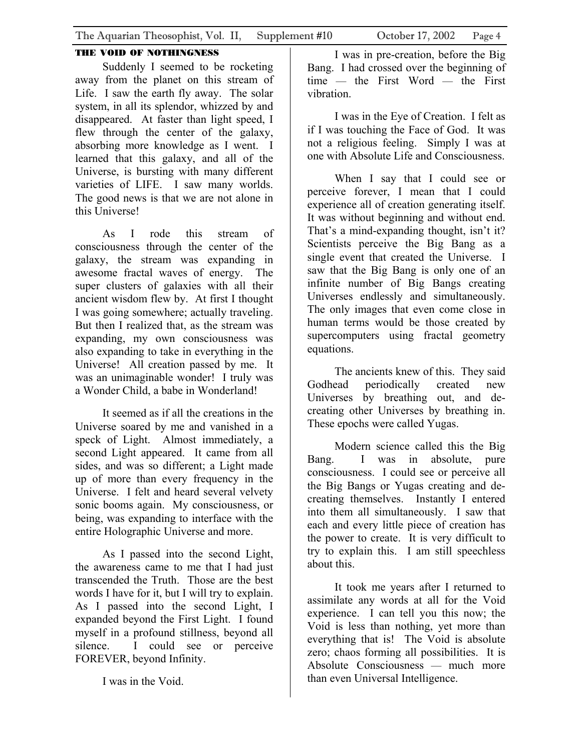### THE VOID OF NOTHINGNESS

Suddenly I seemed to be rocketing away from the planet on this stream of Life. I saw the earth fly away. The solar system, in all its splendor, whizzed by and disappeared. At faster than light speed, I flew through the center of the galaxy, absorbing more knowledge as I went. I learned that this galaxy, and all of the Universe, is bursting with many different varieties of LIFE. I saw many worlds. The good news is that we are not alone in this Universe!

As I rode this stream of consciousness through the center of the galaxy, the stream was expanding in awesome fractal waves of energy. The super clusters of galaxies with all their ancient wisdom flew by. At first I thought I was going somewhere; actually traveling. But then I realized that, as the stream was expanding, my own consciousness was also expanding to take in everything in the Universe! All creation passed by me. It was an unimaginable wonder! I truly was a Wonder Child, a babe in Wonderland!

It seemed as if all the creations in the Universe soared by me and vanished in a speck of Light. Almost immediately, a second Light appeared. It came from all sides, and was so different; a Light made up of more than every frequency in the Universe. I felt and heard several velvety sonic booms again. My consciousness, or being, was expanding to interface with the entire Holographic Universe and more.

As I passed into the second Light, the awareness came to me that I had just transcended the Truth. Those are the best words I have for it, but I will try to explain. As I passed into the second Light, I expanded beyond the First Light. I found myself in a profound stillness, beyond all silence. I could see or perceive FOREVER, beyond Infinity.

I was in the Void.

I was in pre-creation, before the Big Bang. I had crossed over the beginning of time — the First Word — the First vibration.

I was in the Eye of Creation. I felt as if I was touching the Face of God. It was not a religious feeling. Simply I was at one with Absolute Life and Consciousness.

When I say that I could see or perceive forever, I mean that I could experience all of creation generating itself. It was without beginning and without end. That's a mind-expanding thought, isn't it? Scientists perceive the Big Bang as a single event that created the Universe. I saw that the Big Bang is only one of an infinite number of Big Bangs creating Universes endlessly and simultaneously. The only images that even come close in human terms would be those created by supercomputers using fractal geometry equations.

The ancients knew of this. They said Godhead periodically created new Universes by breathing out, and decreating other Universes by breathing in. These epochs were called Yugas.

Modern science called this the Big Bang. I was in absolute, pure consciousness. I could see or perceive all the Big Bangs or Yugas creating and decreating themselves. Instantly I entered into them all simultaneously. I saw that each and every little piece of creation has the power to create. It is very difficult to try to explain this. I am still speechless about this.

It took me years after I returned to assimilate any words at all for the Void experience. I can tell you this now; the Void is less than nothing, yet more than everything that is! The Void is absolute zero; chaos forming all possibilities. It is Absolute Consciousness — much more than even Universal Intelligence.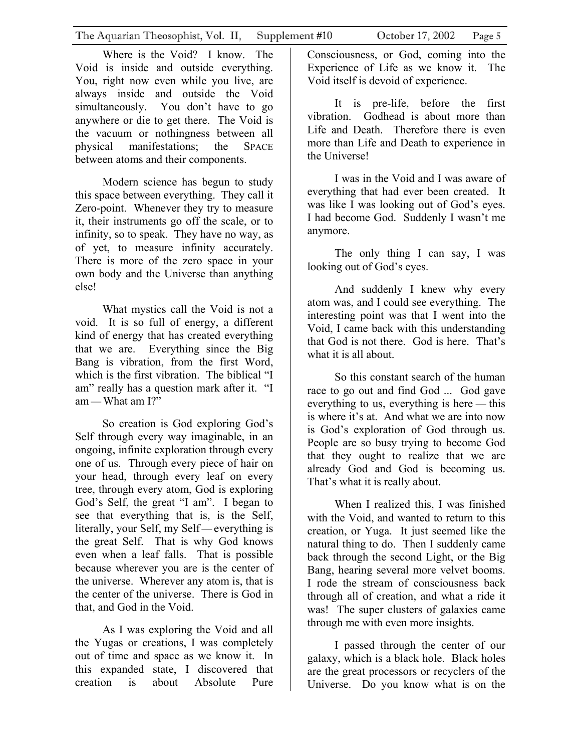Where is the Void? I know. The Void is inside and outside everything. You, right now even while you live, are always inside and outside the Void simultaneously. You don't have to go anywhere or die to get there. The Void is the vacuum or nothingness between all physical manifestations; the SPACE between atoms and their components.

Modern science has begun to study this space between everything. They call it Zero-point. Whenever they try to measure it, their instruments go off the scale, or to infinity, so to speak. They have no way, as of yet, to measure infinity accurately. There is more of the zero space in your own body and the Universe than anything else!

What mystics call the Void is not a void. It is so full of energy, a different kind of energy that has created everything that we are. Everything since the Big Bang is vibration, from the first Word, which is the first vibration. The biblical "I am" really has a question mark after it. "I am — What am I?"

So creation is God exploring God's Self through every way imaginable, in an ongoing, infinite exploration through every one of us. Through every piece of hair on your head, through every leaf on every tree, through every atom, God is exploring God's Self, the great "I am". I began to see that everything that is, is the Self, literally, your Self, my Self—everything is the great Self. That is why God knows even when a leaf falls. That is possible because wherever you are is the center of the universe. Wherever any atom is, that is the center of the universe. There is God in that, and God in the Void.

As I was exploring the Void and all the Yugas or creations, I was completely out of time and space as we know it. In this expanded state, I discovered that creation is about Absolute Pure

Consciousness, or God, coming into the Experience of Life as we know it. The Void itself is devoid of experience.

It is pre-life, before the first vibration. Godhead is about more than Life and Death. Therefore there is even more than Life and Death to experience in the Universe!

I was in the Void and I was aware of everything that had ever been created. It was like I was looking out of God's eyes. I had become God. Suddenly I wasn't me anymore.

The only thing I can say, I was looking out of God's eyes.

And suddenly I knew why every atom was, and I could see everything. The interesting point was that I went into the Void, I came back with this understanding that God is not there. God is here. That's what it is all about.

So this constant search of the human race to go out and find God ... God gave everything to us, everything is here — this is where it's at. And what we are into now is God's exploration of God through us. People are so busy trying to become God that they ought to realize that we are already God and God is becoming us. That's what it is really about.

When I realized this, I was finished with the Void, and wanted to return to this creation, or Yuga. It just seemed like the natural thing to do. Then I suddenly came back through the second Light, or the Big Bang, hearing several more velvet booms. I rode the stream of consciousness back through all of creation, and what a ride it was! The super clusters of galaxies came through me with even more insights.

I passed through the center of our galaxy, which is a black hole. Black holes are the great processors or recyclers of the Universe. Do you know what is on the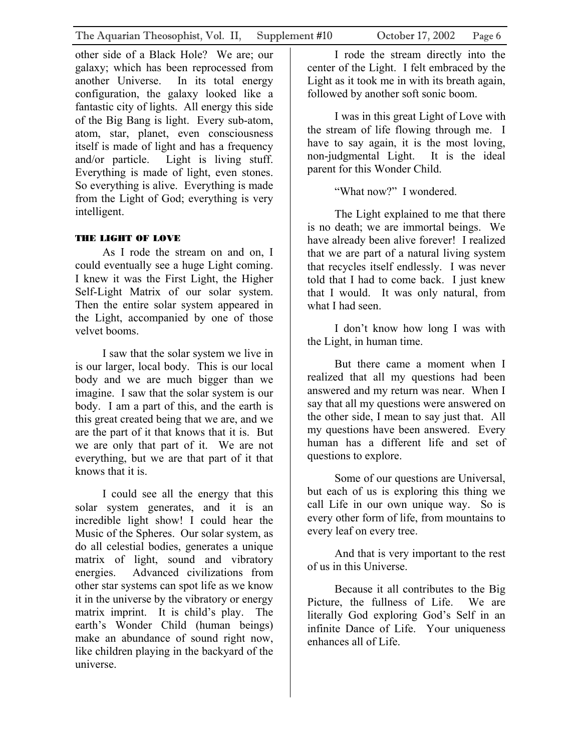other side of a Black Hole? We are; our galaxy; which has been reprocessed from another Universe. In its total energy configuration, the galaxy looked like a fantastic city of lights. All energy this side of the Big Bang is light. Every sub-atom, atom, star, planet, even consciousness itself is made of light and has a frequency and/or particle. Light is living stuff. Everything is made of light, even stones. So everything is alive. Everything is made from the Light of God; everything is very intelligent.

### THE LIGHT OF LOVE

As I rode the stream on and on, I could eventually see a huge Light coming. I knew it was the First Light, the Higher Self-Light Matrix of our solar system. Then the entire solar system appeared in the Light, accompanied by one of those velvet booms.

I saw that the solar system we live in is our larger, local body. This is our local body and we are much bigger than we imagine. I saw that the solar system is our body. I am a part of this, and the earth is this great created being that we are, and we are the part of it that knows that it is. But we are only that part of it. We are not everything, but we are that part of it that knows that it is.

I could see all the energy that this solar system generates, and it is an incredible light show! I could hear the Music of the Spheres. Our solar system, as do all celestial bodies, generates a unique matrix of light, sound and vibratory energies. Advanced civilizations from other star systems can spot life as we know it in the universe by the vibratory or energy matrix imprint. It is child's play. The earth's Wonder Child (human beings) make an abundance of sound right now, like children playing in the backyard of the universe.

I rode the stream directly into the center of the Light. I felt embraced by the Light as it took me in with its breath again, followed by another soft sonic boom.

I was in this great Light of Love with the stream of life flowing through me. I have to say again, it is the most loving, non-judgmental Light. It is the ideal parent for this Wonder Child.

"What now?" I wondered.

The Light explained to me that there is no death; we are immortal beings. We have already been alive forever! I realized that we are part of a natural living system that recycles itself endlessly. I was never told that I had to come back. I just knew that I would. It was only natural, from what I had seen.

I don't know how long I was with the Light, in human time.

But there came a moment when I realized that all my questions had been answered and my return was near. When I say that all my questions were answered on the other side, I mean to say just that. All my questions have been answered. Every human has a different life and set of questions to explore.

Some of our questions are Universal, but each of us is exploring this thing we call Life in our own unique way. So is every other form of life, from mountains to every leaf on every tree.

And that is very important to the rest of us in this Universe.

Because it all contributes to the Big Picture, the fullness of Life. We are literally God exploring God's Self in an infinite Dance of Life. Your uniqueness enhances all of Life.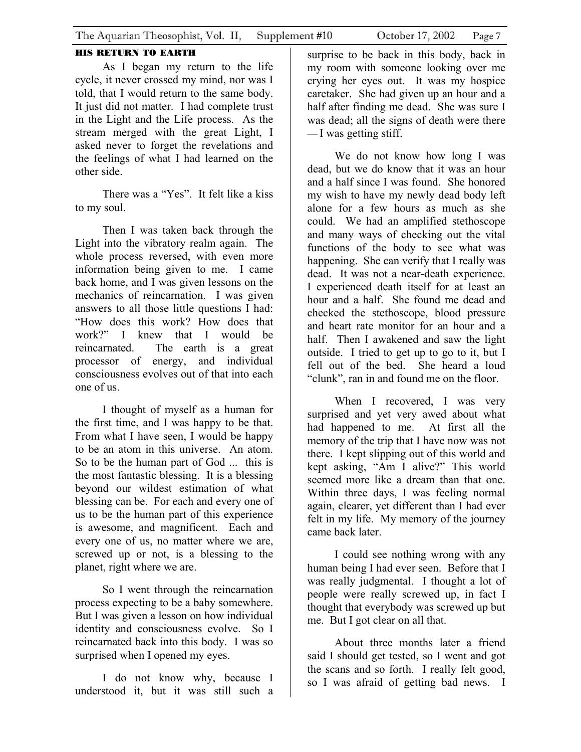### HIS RETURN TO EARTH

As I began my return to the life cycle, it never crossed my mind, nor was I told, that I would return to the same body. It just did not matter. I had complete trust in the Light and the Life process. As the stream merged with the great Light, I asked never to forget the revelations and the feelings of what I had learned on the other side.

There was a "Yes". It felt like a kiss to my soul.

Then I was taken back through the Light into the vibratory realm again. The whole process reversed, with even more information being given to me. I came back home, and I was given lessons on the mechanics of reincarnation. I was given answers to all those little questions I had: "How does this work? How does that work?" I knew that I would be reincarnated. The earth is a great processor of energy, and individual consciousness evolves out of that into each one of us.

I thought of myself as a human for the first time, and I was happy to be that. From what I have seen, I would be happy to be an atom in this universe. An atom. So to be the human part of God ... this is the most fantastic blessing. It is a blessing beyond our wildest estimation of what blessing can be. For each and every one of us to be the human part of this experience is awesome, and magnificent. Each and every one of us, no matter where we are, screwed up or not, is a blessing to the planet, right where we are.

So I went through the reincarnation process expecting to be a baby somewhere. But I was given a lesson on how individual identity and consciousness evolve. So I reincarnated back into this body. I was so surprised when I opened my eyes.

I do not know why, because I understood it, but it was still such a

my room with someone looking over me crying her eyes out. It was my hospice caretaker. She had given up an hour and a half after finding me dead. She was sure I was dead; all the signs of death were there — I was getting stiff.

We do not know how long I was dead, but we do know that it was an hour and a half since I was found. She honored my wish to have my newly dead body left alone for a few hours as much as she could. We had an amplified stethoscope and many ways of checking out the vital functions of the body to see what was happening. She can verify that I really was dead. It was not a near-death experience. I experienced death itself for at least an hour and a half. She found me dead and checked the stethoscope, blood pressure and heart rate monitor for an hour and a half. Then I awakened and saw the light outside. I tried to get up to go to it, but I fell out of the bed. She heard a loud "clunk", ran in and found me on the floor.

When I recovered, I was very surprised and yet very awed about what had happened to me. At first all the memory of the trip that I have now was not there. I kept slipping out of this world and kept asking, "Am I alive?" This world seemed more like a dream than that one. Within three days, I was feeling normal again, clearer, yet different than I had ever felt in my life. My memory of the journey came back later.

I could see nothing wrong with any human being I had ever seen. Before that I was really judgmental. I thought a lot of people were really screwed up, in fact I thought that everybody was screwed up but me. But I got clear on all that.

About three months later a friend said I should get tested, so I went and got the scans and so forth. I really felt good, so I was afraid of getting bad news. I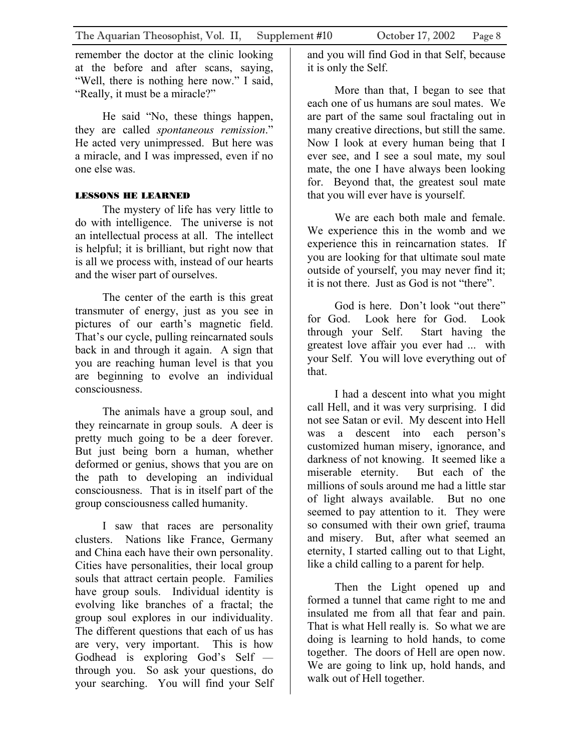remember the doctor at the clinic looking at the before and after scans, saying, "Well, there is nothing here now." I said, "Really, it must be a miracle?"

He said "No, these things happen, they are called *spontaneous remission*." He acted very unimpressed. But here was a miracle, and I was impressed, even if no one else was.

### LESSONS HE LEARNED

The mystery of life has very little to do with intelligence. The universe is not an intellectual process at all. The intellect is helpful; it is brilliant, but right now that is all we process with, instead of our hearts and the wiser part of ourselves.

The center of the earth is this great transmuter of energy, just as you see in pictures of our earth's magnetic field. That's our cycle, pulling reincarnated souls back in and through it again. A sign that you are reaching human level is that you are beginning to evolve an individual consciousness.

The animals have a group soul, and they reincarnate in group souls. A deer is pretty much going to be a deer forever. But just being born a human, whether deformed or genius, shows that you are on the path to developing an individual consciousness. That is in itself part of the group consciousness called humanity.

I saw that races are personality clusters. Nations like France, Germany and China each have their own personality. Cities have personalities, their local group souls that attract certain people. Families have group souls. Individual identity is evolving like branches of a fractal; the group soul explores in our individuality. The different questions that each of us has are very, very important. This is how Godhead is exploring God's Self through you. So ask your questions, do your searching. You will find your Self and you will find God in that Self, because it is only the Self.

More than that, I began to see that each one of us humans are soul mates. We are part of the same soul fractaling out in many creative directions, but still the same. Now I look at every human being that I ever see, and I see a soul mate, my soul mate, the one I have always been looking for. Beyond that, the greatest soul mate that you will ever have is yourself.

We are each both male and female. We experience this in the womb and we experience this in reincarnation states. If you are looking for that ultimate soul mate outside of yourself, you may never find it; it is not there. Just as God is not "there".

God is here. Don't look "out there" for God. Look here for God. Look through your Self. Start having the greatest love affair you ever had ... with your Self. You will love everything out of that.

I had a descent into what you might call Hell, and it was very surprising. I did not see Satan or evil. My descent into Hell was a descent into each person's customized human misery, ignorance, and darkness of not knowing. It seemed like a miserable eternity. But each of the millions of souls around me had a little star of light always available. But no one seemed to pay attention to it. They were so consumed with their own grief, trauma and misery. But, after what seemed an eternity, I started calling out to that Light, like a child calling to a parent for help.

Then the Light opened up and formed a tunnel that came right to me and insulated me from all that fear and pain. That is what Hell really is. So what we are doing is learning to hold hands, to come together. The doors of Hell are open now. We are going to link up, hold hands, and walk out of Hell together.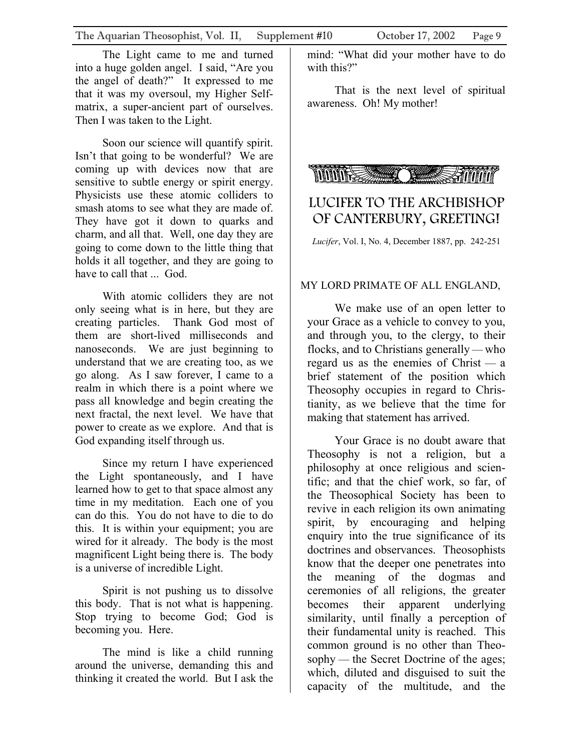The Light came to me and turned into a huge golden angel. I said, "Are you the angel of death?" It expressed to me that it was my oversoul, my Higher Selfmatrix, a super-ancient part of ourselves. Then I was taken to the Light.

Soon our science will quantify spirit. Isn't that going to be wonderful? We are coming up with devices now that are sensitive to subtle energy or spirit energy. Physicists use these atomic colliders to smash atoms to see what they are made of. They have got it down to quarks and charm, and all that. Well, one day they are going to come down to the little thing that holds it all together, and they are going to have to call that ... God.

With atomic colliders they are not only seeing what is in here, but they are creating particles. Thank God most of them are short-lived milliseconds and nanoseconds. We are just beginning to understand that we are creating too, as we go along. As I saw forever, I came to a realm in which there is a point where we pass all knowledge and begin creating the next fractal, the next level. We have that power to create as we explore. And that is God expanding itself through us.

Since my return I have experienced the Light spontaneously, and I have learned how to get to that space almost any time in my meditation. Each one of you can do this. You do not have to die to do this. It is within your equipment; you are wired for it already. The body is the most magnificent Light being there is. The body is a universe of incredible Light.

Spirit is not pushing us to dissolve this body. That is not what is happening. Stop trying to become God; God is becoming you. Here.

The mind is like a child running around the universe, demanding this and thinking it created the world. But I ask the

mind: "What did your mother have to do with this?"

That is the next level of spiritual awareness. Oh! My mother!



# LUCIFER TO THE ARCHBISHOP OF CANTERBURY, GREETING!

*Lucifer*, Vol. I, No. 4, December 1887, pp. 242-251

### MY LORD PRIMATE OF ALL ENGLAND,

We make use of an open letter to your Grace as a vehicle to convey to you, and through you, to the clergy, to their flocks, and to Christians generally — who regard us as the enemies of Christ — a brief statement of the position which Theosophy occupies in regard to Christianity, as we believe that the time for making that statement has arrived.

Your Grace is no doubt aware that Theosophy is not a religion, but a philosophy at once religious and scientific; and that the chief work, so far, of the Theosophical Society has been to revive in each religion its own animating spirit, by encouraging and helping enquiry into the true significance of its doctrines and observances. Theosophists know that the deeper one penetrates into the meaning of the dogmas and ceremonies of all religions, the greater becomes their apparent underlying similarity, until finally a perception of their fundamental unity is reached. This common ground is no other than Theosophy — the Secret Doctrine of the ages; which, diluted and disguised to suit the capacity of the multitude, and the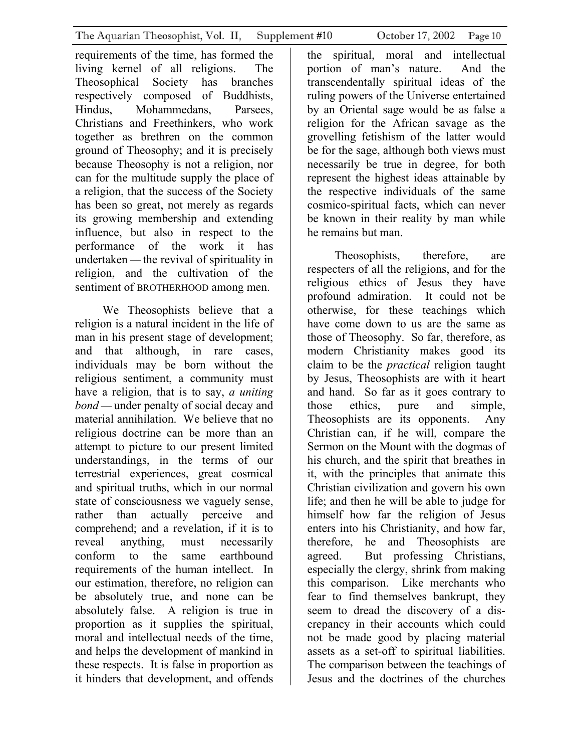requirements of the time, has formed the living kernel of all religions. The Theosophical Society has branches respectively composed of Buddhists, Hindus, Mohammedans, Parsees, Christians and Freethinkers, who work together as brethren on the common ground of Theosophy; and it is precisely because Theosophy is not a religion, nor can for the multitude supply the place of a religion, that the success of the Society has been so great, not merely as regards its growing membership and extending influence, but also in respect to the performance of the work it has undertaken — the revival of spirituality in religion, and the cultivation of the sentiment of BROTHERHOOD among men.

We Theosophists believe that a religion is a natural incident in the life of man in his present stage of development; and that although, in rare cases, individuals may be born without the religious sentiment, a community must have a religion, that is to say, *a uniting bond* — under penalty of social decay and material annihilation. We believe that no religious doctrine can be more than an attempt to picture to our present limited understandings, in the terms of our terrestrial experiences, great cosmical and spiritual truths, which in our normal state of consciousness we vaguely sense, rather than actually perceive and comprehend; and a revelation, if it is to reveal anything, must necessarily conform to the same earthbound requirements of the human intellect. In our estimation, therefore, no religion can be absolutely true, and none can be absolutely false. A religion is true in proportion as it supplies the spiritual, moral and intellectual needs of the time, and helps the development of mankind in these respects. It is false in proportion as it hinders that development, and offends

the spiritual, moral and intellectual portion of man's nature. And the transcendentally spiritual ideas of the ruling powers of the Universe entertained by an Oriental sage would be as false a religion for the African savage as the grovelling fetishism of the latter would be for the sage, although both views must necessarily be true in degree, for both represent the highest ideas attainable by the respective individuals of the same cosmico-spiritual facts, which can never be known in their reality by man while he remains but man.

Theosophists, therefore, are respecters of all the religions, and for the religious ethics of Jesus they have profound admiration. It could not be otherwise, for these teachings which have come down to us are the same as those of Theosophy. So far, therefore, as modern Christianity makes good its claim to be the *practical* religion taught by Jesus, Theosophists are with it heart and hand. So far as it goes contrary to those ethics, pure and simple, Theosophists are its opponents. Any Christian can, if he will, compare the Sermon on the Mount with the dogmas of his church, and the spirit that breathes in it, with the principles that animate this Christian civilization and govern his own life; and then he will be able to judge for himself how far the religion of Jesus enters into his Christianity, and how far, therefore, he and Theosophists are agreed. But professing Christians, especially the clergy, shrink from making this comparison. Like merchants who fear to find themselves bankrupt, they seem to dread the discovery of a discrepancy in their accounts which could not be made good by placing material assets as a set-off to spiritual liabilities. The comparison between the teachings of Jesus and the doctrines of the churches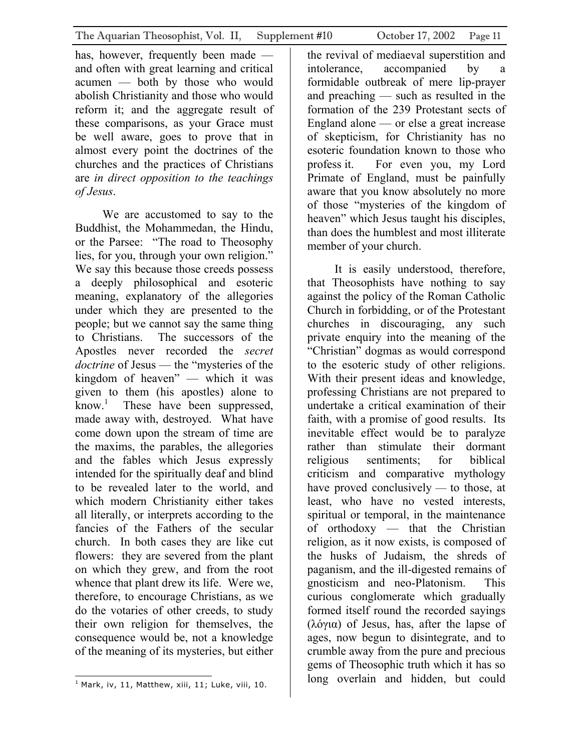has, however, frequently been made and often with great learning and critical acumen — both by those who would abolish Christianity and those who would reform it; and the aggregate result of these comparisons, as your Grace must be well aware, goes to prove that in almost every point the doctrines of the churches and the practices of Christians are *in direct opposition to the teachings of Jesus*.

We are accustomed to say to the Buddhist, the Mohammedan, the Hindu, or the Parsee: "The road to Theosophy lies, for you, through your own religion." We say this because those creeds possess a deeply philosophical and esoteric meaning, explanatory of the allegories under which they are presented to the people; but we cannot say the same thing to Christians. The successors of the Apostles never recorded the *secret doctrine* of Jesus — the "mysteries of the kingdom of heaven" — which it was given to them (his apostles) alone to  $k$ now.<sup>[1](#page-10-0)</sup> These have been suppressed, made away with, destroyed. What have come down upon the stream of time are the maxims, the parables, the allegories and the fables which Jesus expressly intended for the spiritually deaf and blind to be revealed later to the world, and which modern Christianity either takes all literally, or interprets according to the fancies of the Fathers of the secular church. In both cases they are like cut flowers: they are severed from the plant on which they grew, and from the root whence that plant drew its life. Were we, therefore, to encourage Christians, as we do the votaries of other creeds, to study their own religion for themselves, the consequence would be, not a knowledge of the meaning of its mysteries, but either

the revival of mediaeval superstition and intolerance, accompanied by a formidable outbreak of mere lip-prayer and preaching — such as resulted in the formation of the 239 Protestant sects of England alone — or else a great increase of skepticism, for Christianity has no esoteric foundation known to those who profess it. For even you, my Lord Primate of England, must be painfully aware that you know absolutely no more of those "mysteries of the kingdom of heaven" which Jesus taught his disciples, than does the humblest and most illiterate member of your church.

It is easily understood, therefore, that Theosophists have nothing to say against the policy of the Roman Catholic Church in forbidding, or of the Protestant churches in discouraging, any such private enquiry into the meaning of the "Christian" dogmas as would correspond to the esoteric study of other religions. With their present ideas and knowledge, professing Christians are not prepared to undertake a critical examination of their faith, with a promise of good results. Its inevitable effect would be to paralyze rather than stimulate their dormant religious sentiments; for biblical criticism and comparative mythology have proved conclusively — to those, at least, who have no vested interests, spiritual or temporal, in the maintenance of orthodoxy — that the Christian religion, as it now exists, is composed of the husks of Judaism, the shreds of paganism, and the ill-digested remains of gnosticism and neo-Platonism. This curious conglomerate which gradually formed itself round the recorded sayings (λόγια) of Jesus, has, after the lapse of ages, now begun to disintegrate, and to crumble away from the pure and precious gems of Theosophic truth which it has so long overlain and hidden, but could

<span id="page-10-0"></span> 1 Mark, iv, 11, Matthew, xiii, 11; Luke, viii, 10.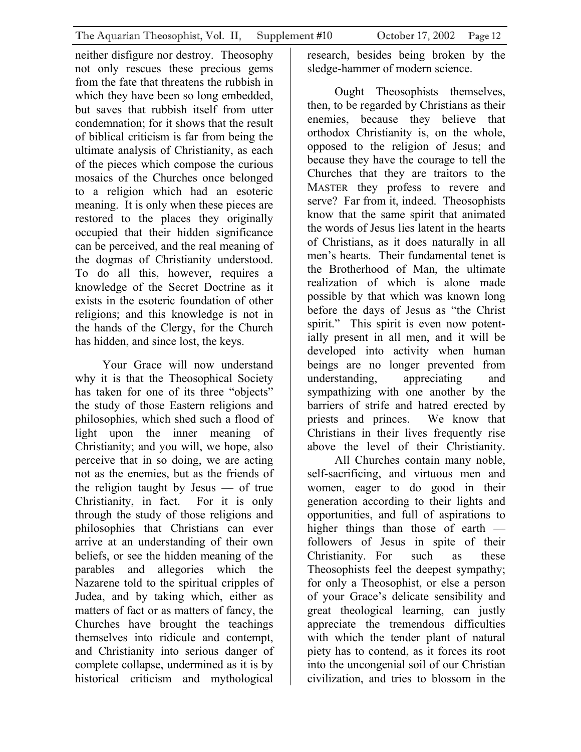neither disfigure nor destroy. Theosophy

research, besides being broken by the sledge-hammer of modern science.

not only rescues these precious gems from the fate that threatens the rubbish in which they have been so long embedded, but saves that rubbish itself from utter condemnation; for it shows that the result of biblical criticism is far from being the ultimate analysis of Christianity, as each of the pieces which compose the curious mosaics of the Churches once belonged to a religion which had an esoteric meaning. It is only when these pieces are restored to the places they originally occupied that their hidden significance can be perceived, and the real meaning of the dogmas of Christianity understood. To do all this, however, requires a knowledge of the Secret Doctrine as it exists in the esoteric foundation of other religions; and this knowledge is not in the hands of the Clergy, for the Church has hidden, and since lost, the keys.

Your Grace will now understand why it is that the Theosophical Society has taken for one of its three "objects" the study of those Eastern religions and philosophies, which shed such a flood of light upon the inner meaning of Christianity; and you will, we hope, also perceive that in so doing, we are acting not as the enemies, but as the friends of the religion taught by Jesus — of true Christianity, in fact. For it is only through the study of those religions and philosophies that Christians can ever arrive at an understanding of their own beliefs, or see the hidden meaning of the parables and allegories which the Nazarene told to the spiritual cripples of Judea, and by taking which, either as matters of fact or as matters of fancy, the Churches have brought the teachings themselves into ridicule and contempt, and Christianity into serious danger of complete collapse, undermined as it is by historical criticism and mythological

Ought Theosophists themselves, then, to be regarded by Christians as their enemies, because they believe that orthodox Christianity is, on the whole, opposed to the religion of Jesus; and because they have the courage to tell the Churches that they are traitors to the MASTER they profess to revere and serve? Far from it, indeed. Theosophists know that the same spirit that animated the words of Jesus lies latent in the hearts of Christians, as it does naturally in all men's hearts. Their fundamental tenet is the Brotherhood of Man, the ultimate realization of which is alone made possible by that which was known long before the days of Jesus as "the Christ spirit." This spirit is even now potentially present in all men, and it will be developed into activity when human beings are no longer prevented from understanding, appreciating and sympathizing with one another by the barriers of strife and hatred erected by priests and princes. We know that Christians in their lives frequently rise above the level of their Christianity.

 All Churches contain many noble, self-sacrificing, and virtuous men and women, eager to do good in their generation according to their lights and opportunities, and full of aspirations to higher things than those of earth followers of Jesus in spite of their Christianity. For such as these Theosophists feel the deepest sympathy; for only a Theosophist, or else a person of your Grace's delicate sensibility and great theological learning, can justly appreciate the tremendous difficulties with which the tender plant of natural piety has to contend, as it forces its root into the uncongenial soil of our Christian civilization, and tries to blossom in the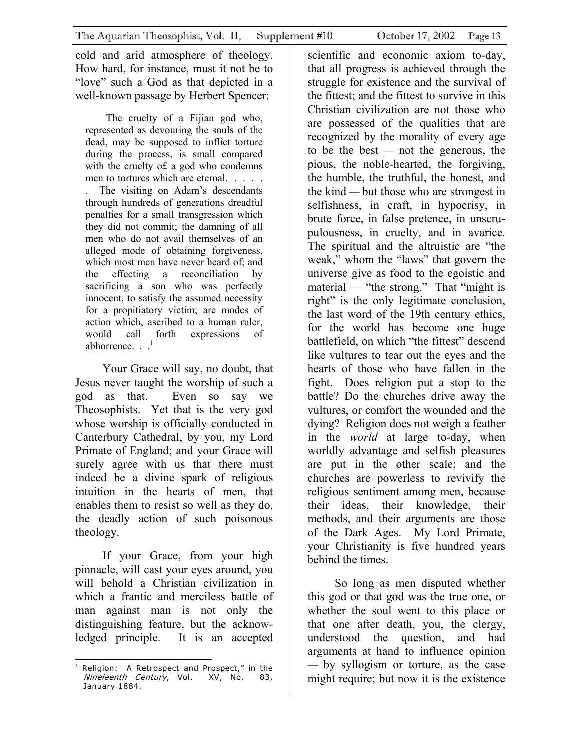cold and arid atmosphere of theology. How hard, for instance, must it not be to "love" such a God as that depicted in a well-known passage by Herbert Spencer:

The cruelty of a Fijian god who, represented as devouring the souls of the dead, may be supposed to inflict torture during the process, is small compared with the cruelty of a god who condemns men to tortures which are eternal. . . . .

. The visiting on Adam's descendants through hundreds of generations dreadful penalties for a small transgression which they did not commit; the damning of all men who do not avail themselves of an alleged mode of obtaining forgiveness, which most men have never heard of; and the effecting a reconciliation by sacrificing a son who was perfectly innocent, to satisfy the assumed necessity for a propitiatory victim; are modes of action which, ascribed to a human ruler, would call forth expressions of abhorrence.  $1$ 

Your Grace will say, no doubt, that Jesus never taught the worship of such a god as that. Even so say we Theosophists. Yet that is the very god whose worship is officially conducted in Canterbury Cathedral, by you, my Lord Primate of England; and your Grace will surely agree with us that there must indeed be a divine spark of religious intuition in the hearts of men, that enables them to resist so well as they do, the deadly action of such poisonous theology.

If your Grace, from your high pinnacle, will cast your eyes around, you will behold a Christian civilization in which a frantic and merciless battle of man against man is not only the distinguishing feature, but the acknowledged principle. It is an accepted

scientific and economic axiom to-day, that all progress is achieved through the struggle for existence and the survival of the fittest; and the fittest to survive in this Christian civilization are not those who are possessed of the qualities that are recognized by the morality of every age to be the best — not the generous, the pious, the noble-hearted, the forgiving, the humble, the truthful, the honest, and the kind — but those who are strongest in selfishness, in craft, in hypocrisy, in brute force, in false pretence, in unscrupulousness, in cruelty, and in avarice. The spiritual and the altruistic are "the weak," whom the "laws" that govern the universe give as food to the egoistic and material — "the strong." That "might is right" is the only legitimate conclusion, the last word of the 19th century ethics, for the world has become one huge battlefield, on which "the fittest" descend like vultures to tear out the eyes and the hearts of those who have fallen in the fight. Does religion put a stop to the battle? Do the churches drive away the vultures, or comfort the wounded and the dying? Religion does not weigh a feather in the *world* at large to-day, when worldly advantage and selfish pleasures are put in the other scale; and the churches are powerless to revivify the religious sentiment among men, because their ideas, their knowledge, their methods, and their arguments are those of the Dark Ages. My Lord Primate, your Christianity is five hundred years behind the times.

So long as men disputed whether this god or that god was the true one, or whether the soul went to this place or that one after death, you, the clergy, understood the question, and had arguments at hand to influence opinion — by syllogism or torture, as the case might require; but now it is the existence

<span id="page-12-0"></span> 1 Religion: A Retrospect and Prospect," in the Nineleenth Century, Vol. XV, No. 83, January 1884.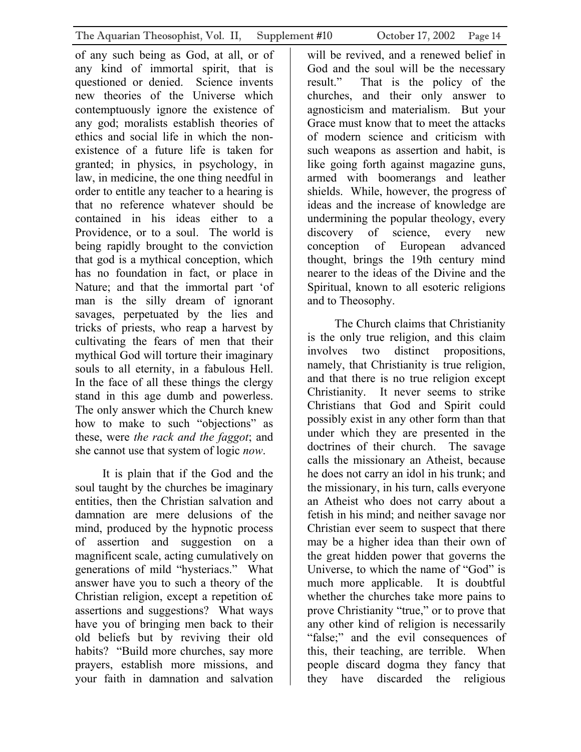of any such being as God, at all, or of any kind of immortal spirit, that is questioned or denied. Science invents new theories of the Universe which contemptuously ignore the existence of any god; moralists establish theories of ethics and social life in which the nonexistence of a future life is taken for granted; in physics, in psychology, in law, in medicine, the one thing needful in order to entitle any teacher to a hearing is that no reference whatever should be contained in his ideas either to a Providence, or to a soul. The world is being rapidly brought to the conviction that god is a mythical conception, which has no foundation in fact, or place in Nature; and that the immortal part 'of man is the silly dream of ignorant savages, perpetuated by the lies and tricks of priests, who reap a harvest by cultivating the fears of men that their mythical God will torture their imaginary souls to all eternity, in a fabulous Hell. In the face of all these things the clergy stand in this age dumb and powerless. The only answer which the Church knew how to make to such "objections" as these, were *the rack and the faggot*; and she cannot use that system of logic *now*.

It is plain that if the God and the soul taught by the churches be imaginary entities, then the Christian salvation and damnation are mere delusions of the mind, produced by the hypnotic process of assertion and suggestion on a magnificent scale, acting cumulatively on generations of mild "hysteriacs." What answer have you to such a theory of the Christian religion, except a repetition o£ assertions and suggestions? What ways have you of bringing men back to their old beliefs but by reviving their old habits? "Build more churches, say more prayers, establish more missions, and your faith in damnation and salvation

will be revived, and a renewed belief in God and the soul will be the necessary result." That is the policy of the churches, and their only answer to agnosticism and materialism. But your Grace must know that to meet the attacks of modern science and criticism with such weapons as assertion and habit, is like going forth against magazine guns, armed with boomerangs and leather shields. While, however, the progress of ideas and the increase of knowledge are undermining the popular theology, every discovery of science, every new conception of European advanced thought, brings the 19th century mind nearer to the ideas of the Divine and the Spiritual, known to all esoteric religions and to Theosophy.

The Church claims that Christianity is the only true religion, and this claim involves two distinct propositions, namely, that Christianity is true religion, and that there is no true religion except Christianity. It never seems to strike Christians that God and Spirit could possibly exist in any other form than that under which they are presented in the doctrines of their church. The savage calls the missionary an Atheist, because he does not carry an idol in his trunk; and the missionary, in his turn, calls everyone an Atheist who does not carry about a fetish in his mind; and neither savage nor Christian ever seem to suspect that there may be a higher idea than their own of the great hidden power that governs the Universe, to which the name of "God" is much more applicable. It is doubtful whether the churches take more pains to prove Christianity "true," or to prove that any other kind of religion is necessarily "false;" and the evil consequences of this, their teaching, are terrible. When people discard dogma they fancy that they have discarded the religious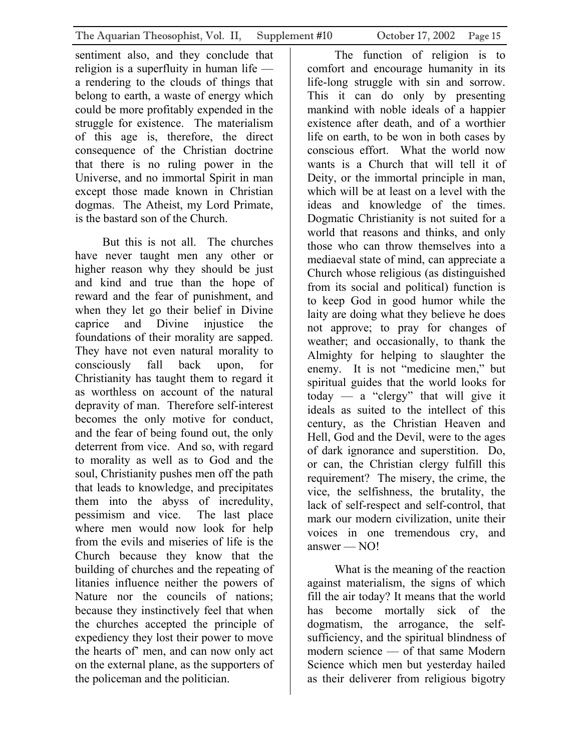sentiment also, and they conclude that religion is a superfluity in human life a rendering to the clouds of things that belong to earth, a waste of energy which could be more profitably expended in the struggle for existence. The materialism of this age is, therefore, the direct consequence of the Christian doctrine that there is no ruling power in the Universe, and no immortal Spirit in man except those made known in Christian dogmas. The Atheist, my Lord Primate, is the bastard son of the Church.

But this is not all. The churches have never taught men any other or higher reason why they should be just and kind and true than the hope of reward and the fear of punishment, and when they let go their belief in Divine caprice and Divine injustice the foundations of their morality are sapped. They have not even natural morality to consciously fall back upon, for Christianity has taught them to regard it as worthless on account of the natural depravity of man. Therefore self-interest becomes the only motive for conduct, and the fear of being found out, the only deterrent from vice. And so, with regard to morality as well as to God and the soul, Christianity pushes men off the path that leads to knowledge, and precipitates them into the abyss of incredulity, pessimism and vice. The last place where men would now look for help from the evils and miseries of life is the Church because they know that the building of churches and the repeating of litanies influence neither the powers of Nature nor the councils of nations; because they instinctively feel that when the churches accepted the principle of expediency they lost their power to move the hearts of' men, and can now only act on the external plane, as the supporters of the policeman and the politician.

The function of religion is to comfort and encourage humanity in its life-long struggle with sin and sorrow. This it can do only by presenting mankind with noble ideals of a happier existence after death, and of a worthier life on earth, to be won in both cases by conscious effort. What the world now wants is a Church that will tell it of Deity, or the immortal principle in man, which will be at least on a level with the ideas and knowledge of the times. Dogmatic Christianity is not suited for a world that reasons and thinks, and only those who can throw themselves into a mediaeval state of mind, can appreciate a Church whose religious (as distinguished from its social and political) function is to keep God in good humor while the laity are doing what they believe he does not approve; to pray for changes of weather; and occasionally, to thank the Almighty for helping to slaughter the enemy. It is not "medicine men," but spiritual guides that the world looks for today — a "clergy" that will give it ideals as suited to the intellect of this century, as the Christian Heaven and Hell, God and the Devil, were to the ages of dark ignorance and superstition. Do, or can, the Christian clergy fulfill this requirement? The misery, the crime, the vice, the selfishness, the brutality, the lack of self-respect and self-control, that mark our modern civilization, unite their voices in one tremendous cry, and answer — NO!

What is the meaning of the reaction against materialism, the signs of which fill the air today? It means that the world has become mortally sick of the dogmatism, the arrogance, the selfsufficiency, and the spiritual blindness of modern science — of that same Modern Science which men but yesterday hailed as their deliverer from religious bigotry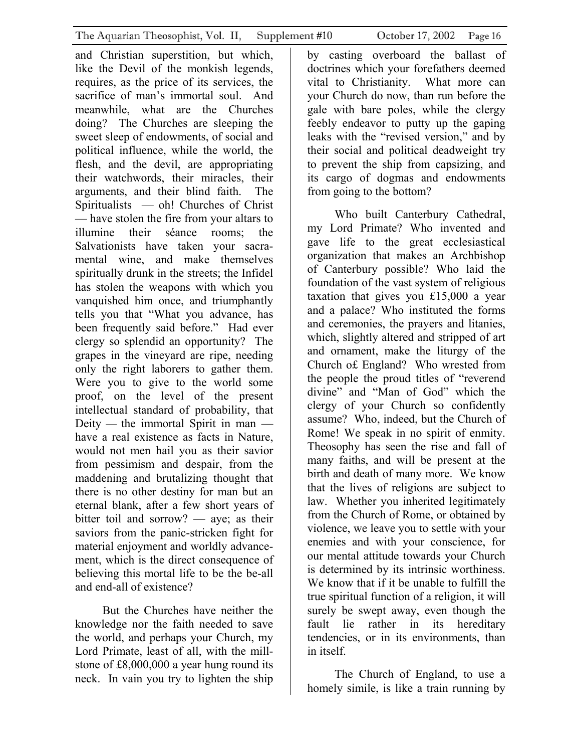and Christian superstition, but which, like the Devil of the monkish legends, requires, as the price of its services, the sacrifice of man's immortal soul. And meanwhile, what are the Churches doing? The Churches are sleeping the sweet sleep of endowments, of social and political influence, while the world, the flesh, and the devil, are appropriating their watchwords, their miracles, their arguments, and their blind faith. The Spiritualists — oh! Churches of Christ — have stolen the fire from your altars to illumine their séance rooms; the Salvationists have taken your sacramental wine, and make themselves spiritually drunk in the streets; the Infidel has stolen the weapons with which you vanquished him once, and triumphantly tells you that "What you advance, has been frequently said before." Had ever clergy so splendid an opportunity? The grapes in the vineyard are ripe, needing only the right laborers to gather them. Were you to give to the world some proof, on the level of the present intellectual standard of probability, that Deity — the immortal Spirit in man have a real existence as facts in Nature, would not men hail you as their savior from pessimism and despair, from the maddening and brutalizing thought that there is no other destiny for man but an eternal blank, after a few short years of bitter toil and sorrow? — aye; as their saviors from the panic-stricken fight for material enjoyment and worldly advancement, which is the direct consequence of believing this mortal life to be the be-all and end-all of existence?

But the Churches have neither the knowledge nor the faith needed to save the world, and perhaps your Church, my Lord Primate, least of all, with the millstone of £8,000,000 a year hung round its neck. In vain you try to lighten the ship

by casting overboard the ballast of doctrines which your forefathers deemed vital to Christianity. What more can your Church do now, than run before the gale with bare poles, while the clergy feebly endeavor to putty up the gaping leaks with the "revised version," and by their social and political deadweight try to prevent the ship from capsizing, and its cargo of dogmas and endowments from going to the bottom?

Who built Canterbury Cathedral, my Lord Primate? Who invented and gave life to the great ecclesiastical organization that makes an Archbishop of Canterbury possible? Who laid the foundation of the vast system of religious taxation that gives you £15,000 a year and a palace? Who instituted the forms and ceremonies, the prayers and litanies, which, slightly altered and stripped of art and ornament, make the liturgy of the Church o£ England? Who wrested from the people the proud titles of "reverend divine" and "Man of God" which the clergy of your Church so confidently assume? Who, indeed, but the Church of Rome! We speak in no spirit of enmity. Theosophy has seen the rise and fall of many faiths, and will be present at the birth and death of many more. We know that the lives of religions are subject to law. Whether you inherited legitimately from the Church of Rome, or obtained by violence, we leave you to settle with your enemies and with your conscience, for our mental attitude towards your Church is determined by its intrinsic worthiness. We know that if it be unable to fulfill the true spiritual function of a religion, it will surely be swept away, even though the fault lie rather in its hereditary tendencies, or in its environments, than in itself.

The Church of England, to use a homely simile, is like a train running by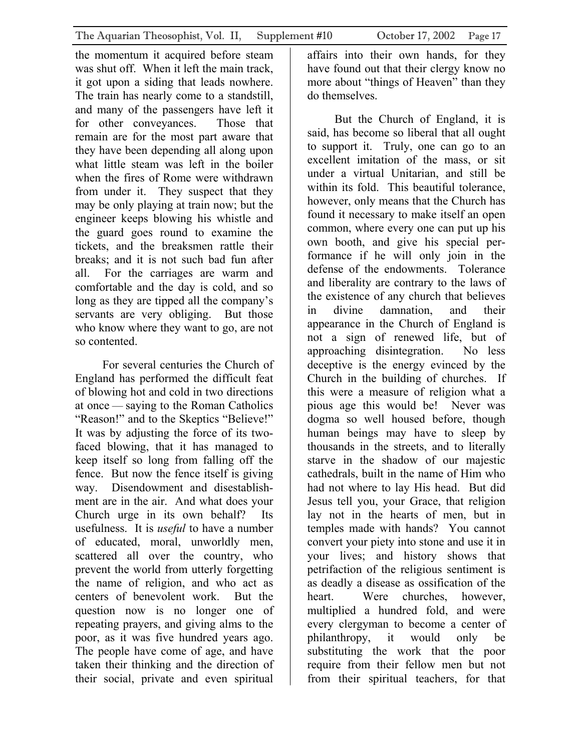the momentum it acquired before steam was shut off. When it left the main track, it got upon a siding that leads nowhere. The train has nearly come to a standstill, and many of the passengers have left it for other conveyances. Those that remain are for the most part aware that they have been depending all along upon what little steam was left in the boiler when the fires of Rome were withdrawn from under it. They suspect that they may be only playing at train now; but the engineer keeps blowing his whistle and the guard goes round to examine the tickets, and the breaksmen rattle their breaks; and it is not such bad fun after all. For the carriages are warm and comfortable and the day is cold, and so long as they are tipped all the company's servants are very obliging. But those who know where they want to go, are not

so contented.

For several centuries the Church of England has performed the difficult feat of blowing hot and cold in two directions at once — saying to the Roman Catholics "Reason!" and to the Skeptics "Believe!" It was by adjusting the force of its twofaced blowing, that it has managed to keep itself so long from falling off the fence. But now the fence itself is giving way. Disendowment and disestablishment are in the air. And what does your Church urge in its own behalf? Its usefulness. It is *useful* to have a number of educated, moral, unworldly men, scattered all over the country, who prevent the world from utterly forgetting the name of religion, and who act as centers of benevolent work. But the question now is no longer one of repeating prayers, and giving alms to the poor, as it was five hundred years ago. The people have come of age, and have taken their thinking and the direction of their social, private and even spiritual

affairs into their own hands, for they have found out that their clergy know no more about "things of Heaven" than they do themselves.

But the Church of England, it is said, has become so liberal that all ought to support it. Truly, one can go to an excellent imitation of the mass, or sit under a virtual Unitarian, and still be within its fold. This beautiful tolerance, however, only means that the Church has found it necessary to make itself an open common, where every one can put up his own booth, and give his special performance if he will only join in the defense of the endowments. Tolerance and liberality are contrary to the laws of the existence of any church that believes in divine damnation, and their appearance in the Church of England is not a sign of renewed life, but of approaching disintegration. No less deceptive is the energy evinced by the Church in the building of churches. If this were a measure of religion what a pious age this would be! Never was dogma so well housed before, though human beings may have to sleep by thousands in the streets, and to literally starve in the shadow of our majestic cathedrals, built in the name of Him who had not where to lay His head. But did Jesus tell you, your Grace, that religion lay not in the hearts of men, but in temples made with hands? You cannot convert your piety into stone and use it in your lives; and history shows that petrifaction of the religious sentiment is as deadly a disease as ossification of the heart. Were churches, however, multiplied a hundred fold, and were every clergyman to become a center of philanthropy, it would only be substituting the work that the poor require from their fellow men but not from their spiritual teachers, for that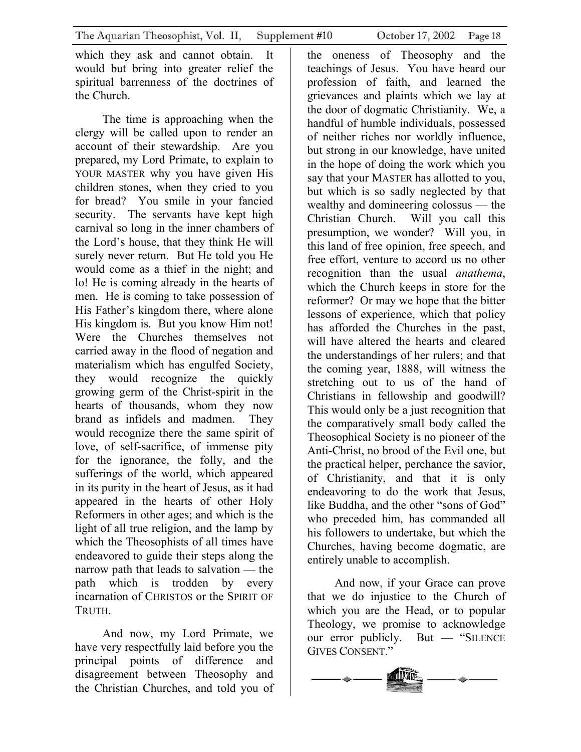which they ask and cannot obtain. It would but bring into greater relief the spiritual barrenness of the doctrines of the Church.

The time is approaching when the clergy will be called upon to render an account of their stewardship. Are you prepared, my Lord Primate, to explain to YOUR MASTER why you have given His children stones, when they cried to you for bread? You smile in your fancied security. The servants have kept high carnival so long in the inner chambers of the Lord's house, that they think He will surely never return. But He told you He would come as a thief in the night; and lo! He is coming already in the hearts of men. He is coming to take possession of His Father's kingdom there, where alone His kingdom is. But you know Him not! Were the Churches themselves not carried away in the flood of negation and materialism which has engulfed Society, they would recognize the quickly growing germ of the Christ-spirit in the hearts of thousands, whom they now brand as infidels and madmen. They would recognize there the same spirit of love, of self-sacrifice, of immense pity for the ignorance, the folly, and the sufferings of the world, which appeared in its purity in the heart of Jesus, as it had appeared in the hearts of other Holy Reformers in other ages; and which is the light of all true religion, and the lamp by which the Theosophists of all times have endeavored to guide their steps along the narrow path that leads to salvation — the path which is trodden by every incarnation of CHRISTOS or the SPIRIT OF TRUTH.

And now, my Lord Primate, we have very respectfully laid before you the principal points of difference and disagreement between Theosophy and the Christian Churches, and told you of

the oneness of Theosophy and the teachings of Jesus. You have heard our profession of faith, and learned the grievances and plaints which we lay at the door of dogmatic Christianity. We, a handful of humble individuals, possessed of neither riches nor worldly influence, but strong in our knowledge, have united in the hope of doing the work which you say that your MASTER has allotted to you, but which is so sadly neglected by that wealthy and domineering colossus — the Christian Church. Will you call this presumption, we wonder? Will you, in this land of free opinion, free speech, and free effort, venture to accord us no other recognition than the usual *anathema*, which the Church keeps in store for the reformer? Or may we hope that the bitter lessons of experience, which that policy has afforded the Churches in the past, will have altered the hearts and cleared the understandings of her rulers; and that the coming year, 1888, will witness the stretching out to us of the hand of Christians in fellowship and goodwill? This would only be a just recognition that the comparatively small body called the Theosophical Society is no pioneer of the Anti-Christ, no brood of the Evil one, but the practical helper, perchance the savior, of Christianity, and that it is only endeavoring to do the work that Jesus, like Buddha, and the other "sons of God" who preceded him, has commanded all his followers to undertake, but which the Churches, having become dogmatic, are entirely unable to accomplish.

And now, if your Grace can prove that we do injustice to the Church of which you are the Head, or to popular Theology, we promise to acknowledge our error publicly. But — "SILENCE GIVES CONSENT."

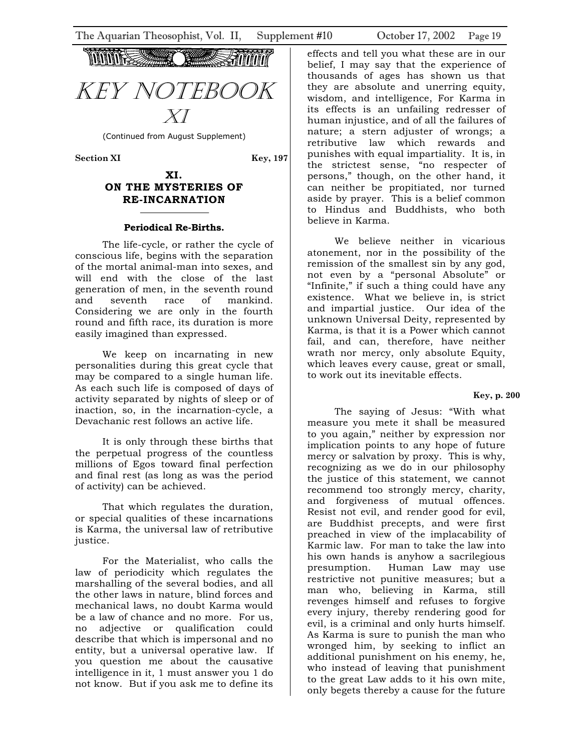<span id="page-18-0"></span>

(Continued from August Supplement)

Section XI Key, 197

### **XI. ON THE MYSTERIES OF RE-INCARNATION**

#### **Periodical Re-Births.**

The life-cycle, or rather the cycle of conscious life, begins with the separation of the mortal animal-man into sexes, and will end with the close of the last generation of men, in the seventh round and seventh race of mankind. Considering we are only in the fourth round and fifth race, its duration is more easily imagined than expressed.

We keep on incarnating in new personalities during this great cycle that may be compared to a single human life. As each such life is composed of days of activity separated by nights of sleep or of inaction, so, in the incarnation-cycle, a Devachanic rest follows an active life.

It is only through these births that the perpetual progress of the countless millions of Egos toward final perfection and final rest (as long as was the period of activity) can be achieved.

That which regulates the duration, or special qualities of these incarnations is Karma, the universal law of retributive justice.

For the Materialist, who calls the law of periodicity which regulates the marshalling of the several bodies, and all the other laws in nature, blind forces and mechanical laws, no doubt Karma would be a law of chance and no more. For us, no adjective or qualification could describe that which is impersonal and no entity, but a universal operative law. If you question me about the causative intelligence in it, 1 must answer you 1 do not know. But if you ask me to define its

effects and tell you what these are in our belief, I may say that the experience of thousands of ages has shown us that they are absolute and unerring equity, wisdom, and intelligence, For Karma in its effects is an unfailing redresser of human injustice, and of all the failures of nature; a stern adjuster of wrongs; a retributive law which rewards and punishes with equal impartiality. It is, in the strictest sense, "no respecter of persons," though, on the other hand, it can neither be propitiated, nor turned aside by prayer. This is a belief common to Hindus and Buddhists, who both believe in Karma.

We believe neither in vicarious atonement, nor in the possibility of the remission of the smallest sin by any god, not even by a "personal Absolute" or "Infinite," if such a thing could have any existence. What we believe in, is strict and impartial justice. Our idea of the unknown Universal Deity, represented by Karma, is that it is a Power which cannot fail, and can, therefore, have neither wrath nor mercy, only absolute Equity, which leaves every cause, great or small, to work out its inevitable effects.

**Key, p. 200** 

The saying of Jesus: "With what measure you mete it shall be measured to you again," neither by expression nor implication points to any hope of future mercy or salvation by proxy. This is why, recognizing as we do in our philosophy the justice of this statement, we cannot recommend too strongly mercy, charity, and forgiveness of mutual offences. Resist not evil, and render good for evil, are Buddhist precepts, and were first preached in view of the implacability of Karmic law. For man to take the law into his own hands is anyhow a sacrilegious presumption. Human Law may use restrictive not punitive measures; but a man who, believing in Karma, still revenges himself and refuses to forgive every injury, thereby rendering good for evil, is a criminal and only hurts himself. As Karma is sure to punish the man who wronged him, by seeking to inflict an additional punishment on his enemy, he, who instead of leaving that punishment to the great Law adds to it his own mite, only begets thereby a cause for the future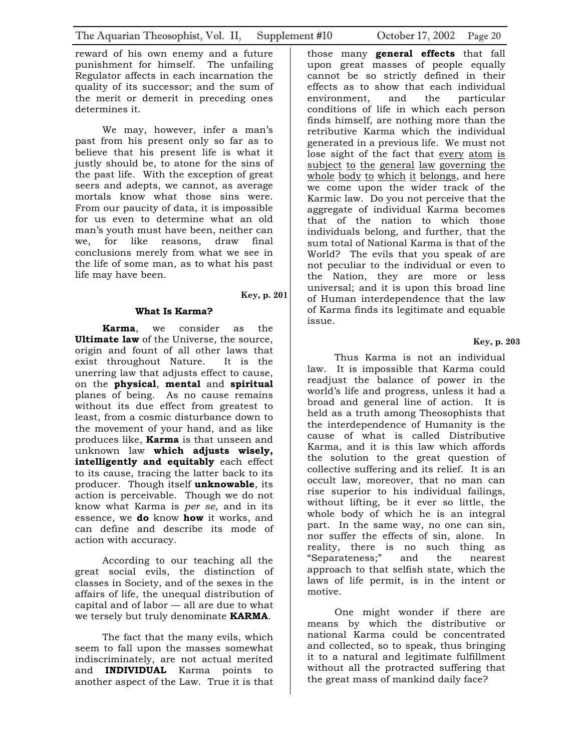reward of his own enemy and a future punishment for himself. The unfailing Regulator affects in each incarnation the quality of its successor; and the sum of the merit or demerit in preceding ones determines it.

We may, however, infer a man's past from his present only so far as to believe that his present life is what it justly should be, to atone for the sins of the past life. With the exception of great seers and adepts, we cannot, as average mortals know what those sins were. From our paucity of data, it is impossible for us even to determine what an old man's youth must have been, neither can we, for like reasons, draw final conclusions merely from what we see in the life of some man, as to what his past life may have been.

#### **Key, p. 201**

#### **What Is Karma?**

**Karma**, we consider as the **Ultimate law** of the Universe, the source, origin and fount of all other laws that exist throughout Nature. It is the unerring law that adjusts effect to cause, on the **physical**, **mental** and **spiritual** planes of being. As no cause remains without its due effect from greatest to least, from a cosmic disturbance down to the movement of your hand, and as like produces like, **Karma** is that unseen and unknown law **which adjusts wisely, intelligently and equitably** each effect to its cause, tracing the latter back to its producer. Though itself **unknowable**, its action is perceivable. Though we do not know what Karma is *per se*, and in its essence, we **do** know **how** it works, and can define and describe its mode of action with accuracy.

According to our teaching all the great social evils, the distinction of classes in Society, and of the sexes in the affairs of life, the unequal distribution of capital and of labor — all are due to what we tersely but truly denominate **KARMA**.

The fact that the many evils, which seem to fall upon the masses somewhat indiscriminately, are not actual merited and **INDIVIDUAL** Karma points to another aspect of the Law. True it is that

those many **general effects** that fall upon great masses of people equally cannot be so strictly defined in their effects as to show that each individual environment, and the particular conditions of life in which each person finds himself, are nothing more than the retributive Karma which the individual generated in a previous life. We must not lose sight of the fact that every atom is subject to the general law governing the whole body to which it belongs, and here we come upon the wider track of the Karmic law. Do you not perceive that the aggregate of individual Karma becomes that of the nation to which those individuals belong, and further, that the sum total of National Karma is that of the World? The evils that you speak of are not peculiar to the individual or even to the Nation, they are more or less universal; and it is upon this broad line of Human interdependence that the law of Karma finds its legitimate and equable issue.

#### **Key, p. 203**

Thus Karma is not an individual law. It is impossible that Karma could readjust the balance of power in the world's life and progress, unless it had a broad and general line of action. It is held as a truth among Theosophists that the interdependence of Humanity is the cause of what is called Distributive Karma, and it is this law which affords the solution to the great question of collective suffering and its relief. It is an occult law, moreover, that no man can rise superior to his individual failings, without lifting, be it ever so little, the whole body of which he is an integral part. In the same way, no one can sin, nor suffer the effects of sin, alone. In reality, there is no such thing as "Separateness;" and the nearest approach to that selfish state, which the laws of life permit, is in the intent or motive.

One might wonder if there are means by which the distributive or national Karma could be concentrated and collected, so to speak, thus bringing it to a natural and legitimate fulfillment without all the protracted suffering that the great mass of mankind daily face?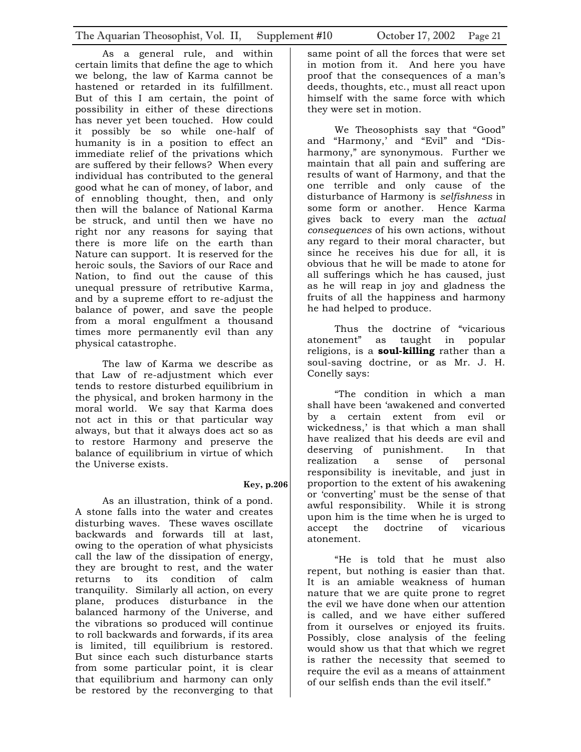As a general rule, and within certain limits that define the age to which we belong, the law of Karma cannot be hastened or retarded in its fulfillment. But of this I am certain, the point of possibility in either of these directions has never yet been touched. How could it possibly be so while one-half of humanity is in a position to effect an immediate relief of the privations which are suffered by their fellows? When every individual has contributed to the general good what he can of money, of labor, and of ennobling thought, then, and only then will the balance of National Karma be struck, and until then we have no right nor any reasons for saying that there is more life on the earth than Nature can support. It is reserved for the heroic souls, the Saviors of our Race and Nation, to find out the cause of this unequal pressure of retributive Karma, and by a supreme effort to re-adjust the balance of power, and save the people from a moral engulfment a thousand times more permanently evil than any physical catastrophe.

The law of Karma we describe as that Law of re-adjustment which ever tends to restore disturbed equilibrium in the physical, and broken harmony in the moral world. We say that Karma does not act in this or that particular way always, but that it always does act so as to restore Harmony and preserve the balance of equilibrium in virtue of which the Universe exists.

### **Key, p.206**

As an illustration, think of a pond. A stone falls into the water and creates disturbing waves. These waves oscillate backwards and forwards till at last, owing to the operation of what physicists call the law of the dissipation of energy, they are brought to rest, and the water returns to its condition of calm tranquility. Similarly all action, on every plane, produces disturbance in the balanced harmony of the Universe, and the vibrations so produced will continue to roll backwards and forwards, if its area is limited, till equilibrium is restored. But since each such disturbance starts from some particular point, it is clear that equilibrium and harmony can only be restored by the reconverging to that

same point of all the forces that were set in motion from it. And here you have proof that the consequences of a man's deeds, thoughts, etc., must all react upon himself with the same force with which they were set in motion.

We Theosophists say that "Good" and "Harmony,' and "Evil" and "Disharmony," are synonymous. Further we maintain that all pain and suffering are results of want of Harmony, and that the one terrible and only cause of the disturbance of Harmony is *selfishness* in some form or another. Hence Karma gives back to every man the *actual consequences* of his own actions, without any regard to their moral character, but since he receives his due for all, it is obvious that he will be made to atone for all sufferings which he has caused, just as he will reap in joy and gladness the fruits of all the happiness and harmony he had helped to produce.

Thus the doctrine of "vicarious atonement" as taught in popular religions, is a **soul-killing** rather than a soul-saving doctrine, or as Mr. J. H. Conelly says:

"The condition in which a man shall have been 'awakened and converted by a certain extent from evil or wickedness,' is that which a man shall have realized that his deeds are evil and deserving of punishment. In that realization a sense of personal responsibility is inevitable, and just in proportion to the extent of his awakening or 'converting' must be the sense of that awful responsibility. While it is strong upon him is the time when he is urged to accept the doctrine of vicarious atonement.

"He is told that he must also repent, but nothing is easier than that. It is an amiable weakness of human nature that we are quite prone to regret the evil we have done when our attention is called, and we have either suffered from it ourselves or enjoyed its fruits. Possibly, close analysis of the feeling would show us that that which we regret is rather the necessity that seemed to require the evil as a means of attainment of our selfish ends than the evil itself."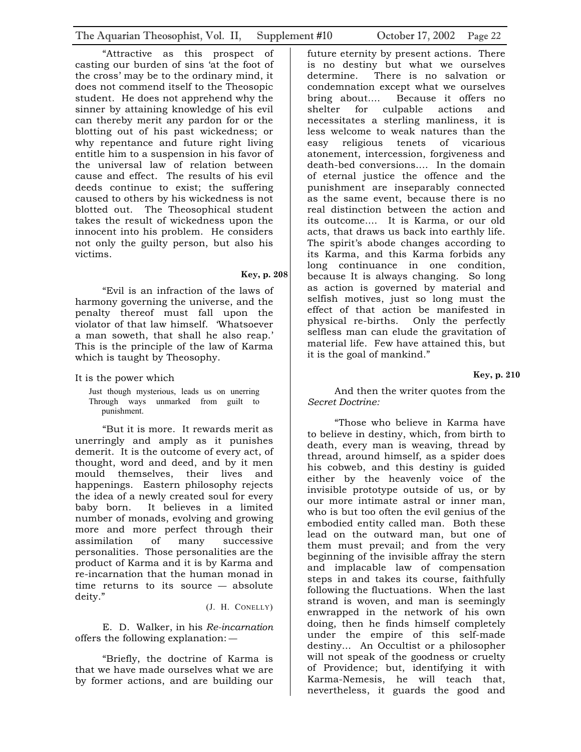"Attractive as this prospect of casting our burden of sins 'at the foot of the cross' may be to the ordinary mind, it does not commend itself to the Theosopic student. He does not apprehend why the sinner by attaining knowledge of his evil can thereby merit any pardon for or the blotting out of his past wickedness; or why repentance and future right living entitle him to a suspension in his favor of the universal law of relation between cause and effect. The results of his evil deeds continue to exist; the suffering caused to others by his wickedness is not blotted out. The Theosophical student takes the result of wickedness upon the innocent into his problem. He considers not only the guilty person, but also his victims.

**Key, p. 208** 

"Evil is an infraction of the laws of harmony governing the universe, and the penalty thereof must fall upon the violator of that law himself. 'Whatsoever a man soweth, that shall he also reap.' This is the principle of the law of Karma which is taught by Theosophy.

It is the power which

Just though mysterious, leads us on unerring Through ways unmarked from guilt to punishment.

"But it is more. It rewards merit as unerringly and amply as it punishes demerit. It is the outcome of every act, of thought, word and deed, and by it men mould themselves, their lives and happenings. Eastern philosophy rejects the idea of a newly created soul for every baby born. It believes in a limited number of monads, evolving and growing more and more perfect through their assimilation of many successive personalities. Those personalities are the product of Karma and it is by Karma and re-incarnation that the human monad in time returns to its source — absolute deity."

(J. H. CONELLY)

E. D. Walker, in his *Re-incarnation*  offers the following explanation: —

"Briefly, the doctrine of Karma is that we have made ourselves what we are by former actions, and are building our

future eternity by present actions. There is no destiny but what we ourselves determine. There is no salvation or condemnation except what we ourselves bring about.... Because it offers no shelter for culpable actions and necessitates a sterling manliness, it is less welcome to weak natures than the easy religious tenets of vicarious atonement, intercession, forgiveness and death-bed conversions.... In the domain of eternal justice the offence and the punishment are inseparably connected as the same event, because there is no real distinction between the action and its outcome.... It is Karma, or our old acts, that draws us back into earthly life. The spirit's abode changes according to its Karma, and this Karma forbids any long continuance in one condition, because It is always changing. So long as action is governed by material and selfish motives, just so long must the effect of that action be manifested in physical re-births. Only the perfectly selfless man can elude the gravitation of material life. Few have attained this, but it is the goal of mankind."

**Key, p. 210** 

And then the writer quotes from the *Secret Doctrine:*

"Those who believe in Karma have to believe in destiny, which, from birth to death, every man is weaving, thread by thread, around himself, as a spider does his cobweb, and this destiny is guided either by the heavenly voice of the invisible prototype outside of us, or by our more intimate astral or inner man, who is but too often the evil genius of the embodied entity called man. Both these lead on the outward man, but one of them must prevail; and from the very beginning of the invisible affray the stern and implacable law of compensation steps in and takes its course, faithfully following the fluctuations. When the last strand is woven, and man is seemingly enwrapped in the network of his own doing, then he finds himself completely under the empire of this self-made destiny... An Occultist or a philosopher will not speak of the goodness or cruelty of Providence; but, identifying it with Karma-Nemesis, he will teach that, nevertheless, it guards the good and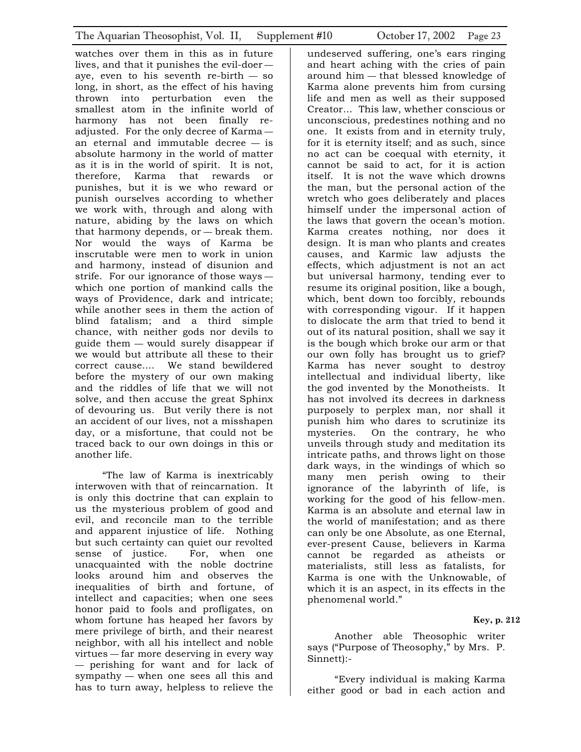watches over them in this as in future lives, and that it punishes the evil-doer aye, even to his seventh re-birth — so long, in short, as the effect of his having thrown into perturbation even the smallest atom in the infinite world of harmony has not been finally readjusted. For the only decree of Karma an eternal and immutable decree — is absolute harmony in the world of matter as it is in the world of spirit. It is not, therefore, Karma that rewards or punishes, but it is we who reward or punish ourselves according to whether we work with, through and along with nature, abiding by the laws on which that harmony depends, or — break them. Nor would the ways of Karma be inscrutable were men to work in union and harmony, instead of disunion and strife. For our ignorance of those ways which one portion of mankind calls the ways of Providence, dark and intricate; while another sees in them the action of blind fatalism; and a third simple chance, with neither gods nor devils to guide them — would surely disappear if we would but attribute all these to their correct cause.... We stand bewildered before the mystery of our own making and the riddles of life that we will not solve, and then accuse the great Sphinx of devouring us. But verily there is not an accident of our lives, not a misshapen day, or a misfortune, that could not be traced back to our own doings in this or another life.

"The law of Karma is inextricably interwoven with that of reincarnation. It is only this doctrine that can explain to us the mysterious problem of good and evil, and reconcile man to the terrible and apparent injustice of life. Nothing but such certainty can quiet our revolted sense of justice. For, when one unacquainted with the noble doctrine looks around him and observes the inequalities of birth and fortune, of intellect and capacities; when one sees honor paid to fools and profligates, on whom fortune has heaped her favors by mere privilege of birth, and their nearest neighbor, with all his intellect and noble virtues — far more deserving in every way — perishing for want and for lack of sympathy — when one sees all this and has to turn away, helpless to relieve the

undeserved suffering, one's ears ringing and heart aching with the cries of pain around him — that blessed knowledge of Karma alone prevents him from cursing life and men as well as their supposed Creator… This law, whether conscious or unconscious, predestines nothing and no one. It exists from and in eternity truly, for it is eternity itself; and as such, since no act can be coequal with eternity, it cannot be said to act, for it is action itself. It is not the wave which drowns the man, but the personal action of the wretch who goes deliberately and places himself under the impersonal action of the laws that govern the ocean's motion. Karma creates nothing, nor does it design. It is man who plants and creates causes, and Karmic law adjusts the effects, which adjustment is not an act but universal harmony, tending ever to resume its original position, like a bough, which, bent down too forcibly, rebounds with corresponding vigour. If it happen to dislocate the arm that tried to bend it out of its natural position, shall we say it is the bough which broke our arm or that our own folly has brought us to grief? Karma has never sought to destroy intellectual and individual liberty, like the god invented by the Monotheists. It has not involved its decrees in darkness purposely to perplex man, nor shall it punish him who dares to scrutinize its mysteries. On the contrary, he who unveils through study and meditation its intricate paths, and throws light on those dark ways, in the windings of which so many men perish owing to their ignorance of the labyrinth of life, is working for the good of his fellow-men. Karma is an absolute and eternal law in the world of manifestation; and as there can only be one Absolute, as one Eternal, ever-present Cause, believers in Karma cannot be regarded as atheists or materialists, still less as fatalists, for Karma is one with the Unknowable, of which it is an aspect, in its effects in the phenomenal world."

#### **Key, p. 212**

Another able Theosophic writer says ("Purpose of Theosophy," by Mrs. P. Sinnett):-

"Every individual is making Karma either good or bad in each action and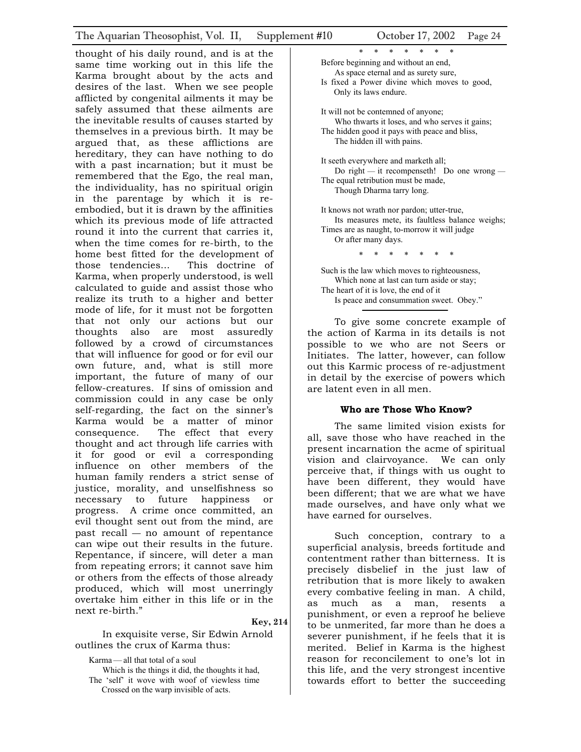thought of his daily round, and is at the same time working out in this life the Karma brought about by the acts and desires of the last. When we see people afflicted by congenital ailments it may be safely assumed that these ailments are the inevitable results of causes started by themselves in a previous birth. It may be argued that, as these afflictions are hereditary, they can have nothing to do with a past incarnation; but it must be remembered that the Ego, the real man, the individuality, has no spiritual origin in the parentage by which it is reembodied, but it is drawn by the affinities which its previous mode of life attracted round it into the current that carries it, when the time comes for re-birth, to the home best fitted for the development of those tendencies... This doctrine of Karma, when properly understood, is well calculated to guide and assist those who realize its truth to a higher and better mode of life, for it must not be forgotten that not only our actions but our thoughts also are most assuredly followed by a crowd of circumstances that will influence for good or for evil our own future, and, what is still more important, the future of many of our fellow-creatures. If sins of omission and commission could in any case be only self-regarding, the fact on the sinner's Karma would be a matter of minor consequence. The effect that every thought and act through life carries with it for good or evil a corresponding influence on other members of the human family renders a strict sense of justice, morality, and unselfishness so necessary to future happiness or progress. A crime once committed, an evil thought sent out from the mind, are past recall — no amount of repentance can wipe out their results in the future. Repentance, if sincere, will deter a man from repeating errors; it cannot save him or others from the effects of those already produced, which will most unerringly overtake him either in this life or in the next re-birth."

#### **Key, 214**

In exquisite verse, Sir Edwin Arnold outlines the crux of Karma thus:

Karma — all that total of a soul

Which is the things it did, the thoughts it had, The 'self' it wove with woof of viewless time Crossed on the warp invisible of acts.

Before beginning and without an end, As space eternal and as surety sure, Is fixed a Power divine which moves to good, Only its laws endure. It will not be contemned of anyone; Who thwarts it loses, and who serves it gains; The hidden good it pays with peace and bliss, The hidden ill with pains. It seeth everywhere and marketh all; Do right — it recompenseth! Do one wrong — The equal retribution must be made, Though Dharma tarry long. It knows not wrath nor pardon; utter-true, Its measures mete, its faultless balance weighs; Times are as naught, to-morrow it will judge Or after many days. \* \* \* \* \* \* \*

Such is the law which moves to righteousness, Which none at last can turn aside or stay; The heart of it is love, the end of it Is peace and consummation sweet. Obey."

To give some concrete example of the action of Karma in its details is not possible to we who are not Seers or Initiates. The latter, however, can follow out this Karmic process of re-adjustment in detail by the exercise of powers which are latent even in all men.

#### **Who are Those Who Know?**

The same limited vision exists for all, save those who have reached in the present incarnation the acme of spiritual vision and clairvoyance. We can only perceive that, if things with us ought to have been different, they would have been different; that we are what we have made ourselves, and have only what we have earned for ourselves.

Such conception, contrary to a superficial analysis, breeds fortitude and contentment rather than bitterness. It is precisely disbelief in the just law of retribution that is more likely to awaken every combative feeling in man. A child, as much as a man, resents a punishment, or even a reproof he believe to be unmerited, far more than he does a severer punishment, if he feels that it is merited. Belief in Karma is the highest reason for reconcilement to one's lot in this life, and the very strongest incentive towards effort to better the succeeding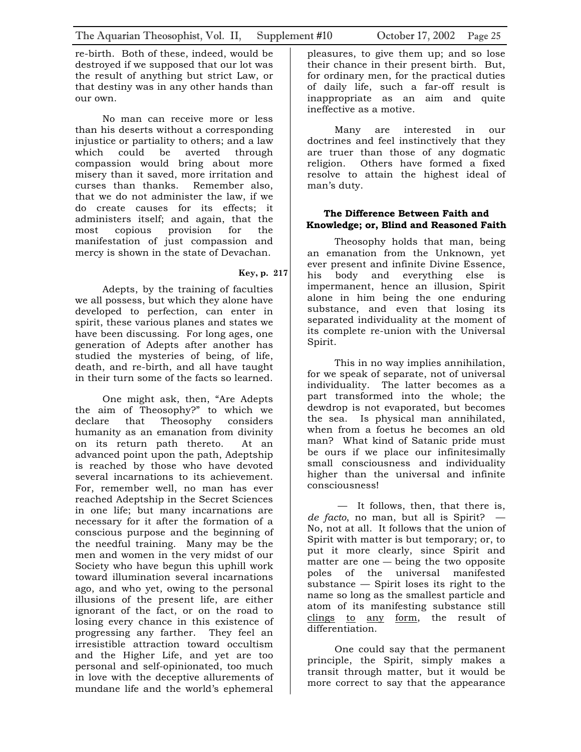re-birth. Both of these, indeed, would be destroyed if we supposed that our lot was the result of anything but strict Law, or that destiny was in any other hands than our own.

No man can receive more or less than his deserts without a corresponding injustice or partiality to others; and a law which could be averted through compassion would bring about more misery than it saved, more irritation and curses than thanks. Remember also, that we do not administer the law, if we do create causes for its effects; it administers itself; and again, that the most copious provision for the manifestation of just compassion and mercy is shown in the state of Devachan.

**Key, p. 217** 

Adepts, by the training of faculties we all possess, but which they alone have developed to perfection, can enter in spirit, these various planes and states we have been discussing. For long ages, one generation of Adepts after another has studied the mysteries of being, of life, death, and re-birth, and all have taught in their turn some of the facts so learned.

One might ask, then, "Are Adepts the aim of Theosophy?" to which we declare that Theosophy considers humanity as an emanation from divinity on its return path thereto. At an advanced point upon the path, Adeptship is reached by those who have devoted several incarnations to its achievement. For, remember well, no man has ever reached Adeptship in the Secret Sciences in one life; but many incarnations are necessary for it after the formation of a conscious purpose and the beginning of the needful training. Many may be the men and women in the very midst of our Society who have begun this uphill work toward illumination several incarnations ago, and who yet, owing to the personal illusions of the present life, are either ignorant of the fact, or on the road to losing every chance in this existence of progressing any farther. They feel an irresistible attraction toward occultism and the Higher Life, and yet are too personal and self-opinionated, too much in love with the deceptive allurements of mundane life and the world's ephemeral

pleasures, to give them up; and so lose their chance in their present birth. But, for ordinary men, for the practical duties of daily life, such a far-off result is inappropriate as an aim and quite ineffective as a motive.

Many are interested in our doctrines and feel instinctively that they are truer than those of any dogmatic religion. Others have formed a fixed resolve to attain the highest ideal of man's duty.

### **The Difference Between Faith and Knowledge; or, Blind and Reasoned Faith**

Theosophy holds that man, being an emanation from the Unknown, yet ever present and infinite Divine Essence, his body and everything else is impermanent, hence an illusion, Spirit alone in him being the one enduring substance, and even that losing its separated individuality at the moment of its complete re-union with the Universal Spirit.

This in no way implies annihilation, for we speak of separate, not of universal individuality. The latter becomes as a part transformed into the whole; the dewdrop is not evaporated, but becomes the sea. Is physical man annihilated, when from a foetus he becomes an old man? What kind of Satanic pride must be ours if we place our infinitesimally small consciousness and individuality higher than the universal and infinite consciousness!

 — It follows, then, that there is, *de facto*, no man, but all is Spirit? — No, not at all. It follows that the union of Spirit with matter is but temporary; or, to put it more clearly, since Spirit and matter are one — being the two opposite poles of the universal manifested substance — Spirit loses its right to the name so long as the smallest particle and atom of its manifesting substance still clings to any form, the result of differentiation.

One could say that the permanent principle, the Spirit, simply makes a transit through matter, but it would be more correct to say that the appearance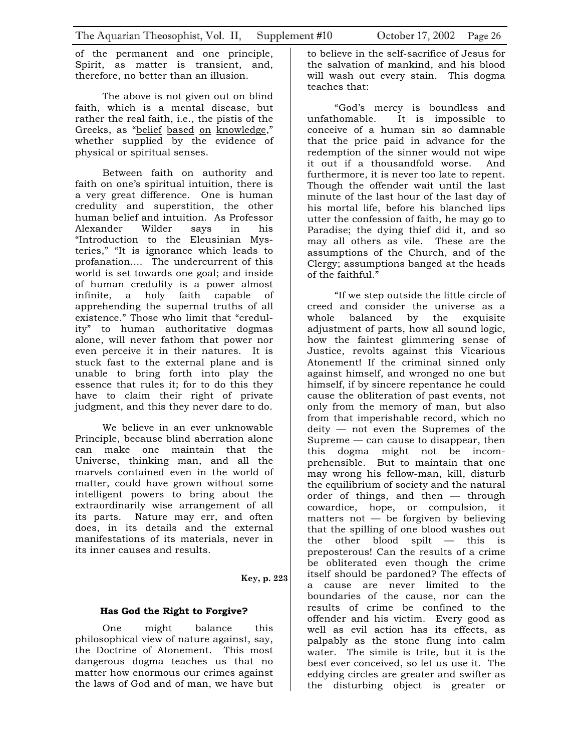of the permanent and one principle, Spirit, as matter is transient, and, therefore, no better than an illusion.

The above is not given out on blind faith, which is a mental disease, but rather the real faith, i.e., the pistis of the Greeks, as "belief based on knowledge," whether supplied by the evidence of physical or spiritual senses.

Between faith on authority and faith on one's spiritual intuition, there is a very great difference. One is human credulity and superstition, the other human belief and intuition. As Professor Alexander Wilder says in his "Introduction to the Eleusinian Mysteries," "It is ignorance which leads to profanation.... The undercurrent of this world is set towards one goal; and inside of human credulity is a power almost infinite, a holy faith capable of apprehending the supernal truths of all existence." Those who limit that "credulity" to human authoritative dogmas alone, will never fathom that power nor even perceive it in their natures. It is stuck fast to the external plane and is unable to bring forth into play the essence that rules it; for to do this they have to claim their right of private judgment, and this they never dare to do.

We believe in an ever unknowable Principle, because blind aberration alone can make one maintain that the Universe, thinking man, and all the marvels contained even in the world of matter, could have grown without some intelligent powers to bring about the extraordinarily wise arrangement of all its parts. Nature may err, and often does, in its details and the external manifestations of its materials, never in its inner causes and results.

**Key, p. 223** 

### **Has God the Right to Forgive?**

One might balance this philosophical view of nature against, say, the Doctrine of Atonement. This most dangerous dogma teaches us that no matter how enormous our crimes against the laws of God and of man, we have but

to believe in the self-sacrifice of Jesus for the salvation of mankind, and his blood will wash out every stain. This dogma teaches that:

"God's mercy is boundless and unfathomable. It is impossible to conceive of a human sin so damnable that the price paid in advance for the redemption of the sinner would not wipe it out if a thousandfold worse. And furthermore, it is never too late to repent. Though the offender wait until the last minute of the last hour of the last day of his mortal life, before his blanched lips utter the confession of faith, he may go to Paradise; the dying thief did it, and so may all others as vile. These are the assumptions of the Church, and of the Clergy; assumptions banged at the heads of the faithful."

"If we step outside the little circle of creed and consider the universe as a whole balanced by the exquisite adjustment of parts, how all sound logic, how the faintest glimmering sense of Justice, revolts against this Vicarious Atonement! If the criminal sinned only against himself, and wronged no one but himself, if by sincere repentance he could cause the obliteration of past events, not only from the memory of man, but also from that imperishable record, which no deity — not even the Supremes of the Supreme  $-$  can cause to disappear, then this dogma might not be incomprehensible. But to maintain that one may wrong his fellow-man, kill, disturb the equilibrium of society and the natural order of things, and then — through cowardice, hope, or compulsion, it matters not  $-$  be forgiven by believing that the spilling of one blood washes out the other blood spilt — this is preposterous! Can the results of a crime be obliterated even though the crime itself should be pardoned? The effects of a cause are never limited to the boundaries of the cause, nor can the results of crime be confined to the offender and his victim. Every good as well as evil action has its effects, as palpably as the stone flung into calm water. The simile is trite, but it is the best ever conceived, so let us use it. The eddying circles are greater and swifter as the disturbing object is greater or